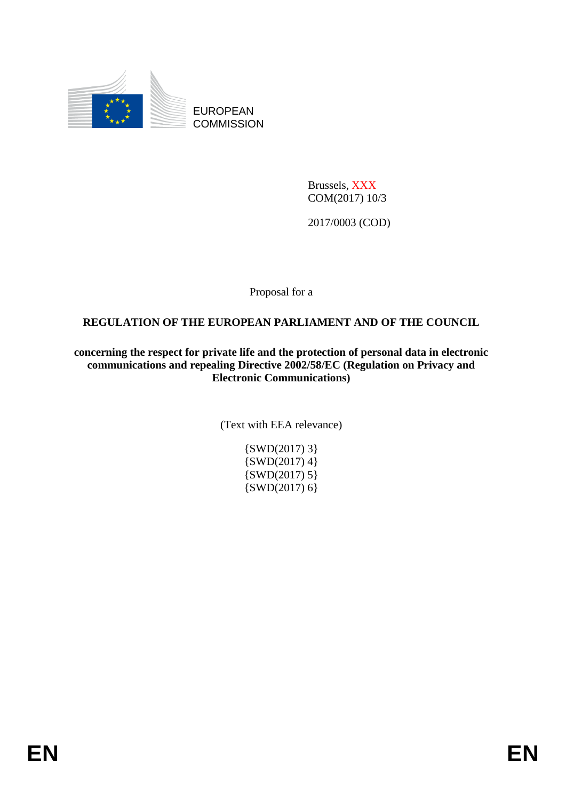

EUROPEAN **COMMISSION** 

> Brussels, XXX COM(2017) 10/3

2017/0003 (COD)

Proposal for a

### **REGULATION OF THE EUROPEAN PARLIAMENT AND OF THE COUNCIL**

**concerning the respect for private life and the protection of personal data in electronic communications and repealing Directive 2002/58/EC (Regulation on Privacy and Electronic Communications)**

(Text with EEA relevance)

 $\{SWD(2017)$  3}  $\{SWD(2017)$  4}  $\{SWD(2017) 5\}$ {SWD(2017) 6}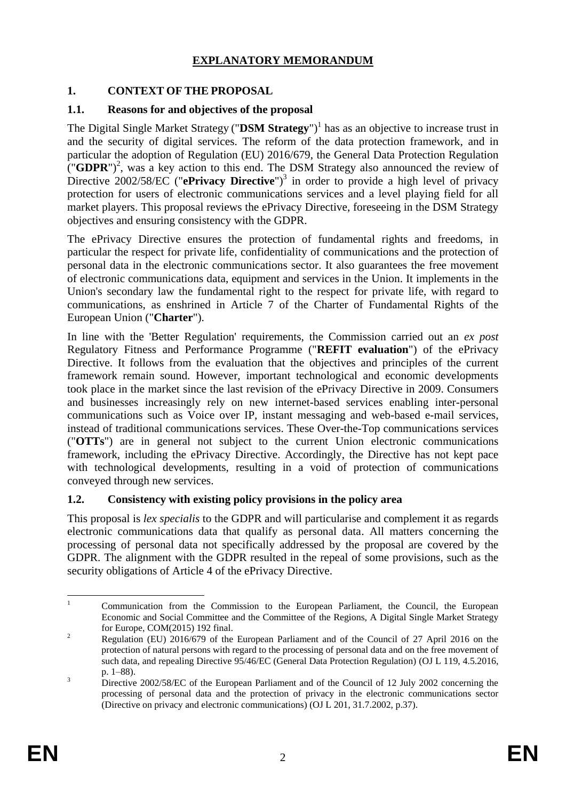### **EXPLANATORY MEMORANDUM**

## **1. CONTEXT OF THE PROPOSAL**

### **1.1. Reasons for and objectives of the proposal**

The Digital Single Market Strategy ("DSM Strategy")<sup>1</sup> has as an objective to increase trust in and the security of digital services. The reform of the data protection framework, and in particular the adoption of Regulation (EU) 2016/679, the General Data Protection Regulation  $(\mathbf{YG} \mathbf{DPR})^2$ , was a key action to this end. The DSM Strategy also announced the review of Directive 2002/58/EC ("ePrivacy Directive")<sup>3</sup> in order to provide a high level of privacy protection for users of electronic communications services and a level playing field for all market players. This proposal reviews the ePrivacy Directive, foreseeing in the DSM Strategy objectives and ensuring consistency with the GDPR.

The ePrivacy Directive ensures the protection of fundamental rights and freedoms, in particular the respect for private life, confidentiality of communications and the protection of personal data in the electronic communications sector. It also guarantees the free movement of electronic communications data, equipment and services in the Union. It implements in the Union's secondary law the fundamental right to the respect for private life, with regard to communications, as enshrined in Article 7 of the Charter of Fundamental Rights of the European Union ("**Charter**").

In line with the 'Better Regulation' requirements, the Commission carried out an *ex post* Regulatory Fitness and Performance Programme ("**REFIT evaluation**") of the ePrivacy Directive. It follows from the evaluation that the objectives and principles of the current framework remain sound. However, important technological and economic developments took place in the market since the last revision of the ePrivacy Directive in 2009. Consumers and businesses increasingly rely on new internet-based services enabling inter-personal communications such as Voice over IP, instant messaging and web-based e-mail services, instead of traditional communications services. These Over-the-Top communications services ("**OTTs**") are in general not subject to the current Union electronic communications framework, including the ePrivacy Directive. Accordingly, the Directive has not kept pace with technological developments, resulting in a void of protection of communications conveyed through new services.

### **1.2. Consistency with existing policy provisions in the policy area**

This proposal is *lex specialis* to the GDPR and will particularise and complement it as regards electronic communications data that qualify as personal data. All matters concerning the processing of personal data not specifically addressed by the proposal are covered by the GDPR. The alignment with the GDPR resulted in the repeal of some provisions, such as the security obligations of Article 4 of the ePrivacy Directive.

 $\mathbf{1}$ <sup>1</sup> Communication from the Commission to the European Parliament, the Council, the European Economic and Social Committee and the Committee of the Regions, A Digital Single Market Strategy for Europe, COM(2015) 192 final.

<sup>&</sup>lt;sup>2</sup> Regulation (EU) 2016/679 of the European Parliament and of the Council of 27 April 2016 on the protection of natural persons with regard to the processing of personal data and on the free movement of such data, and repealing Directive 95/46/EC (General Data Protection Regulation) (OJ L 119, 4.5.2016, p. 1–88).

<sup>&</sup>lt;sup>3</sup> Directive 2002/58/EC of the European Parliament and of the Council of 12 July 2002 concerning the processing of personal data and the protection of privacy in the electronic communications sector (Directive on privacy and electronic communications) (OJ L 201, 31.7.2002, p.37).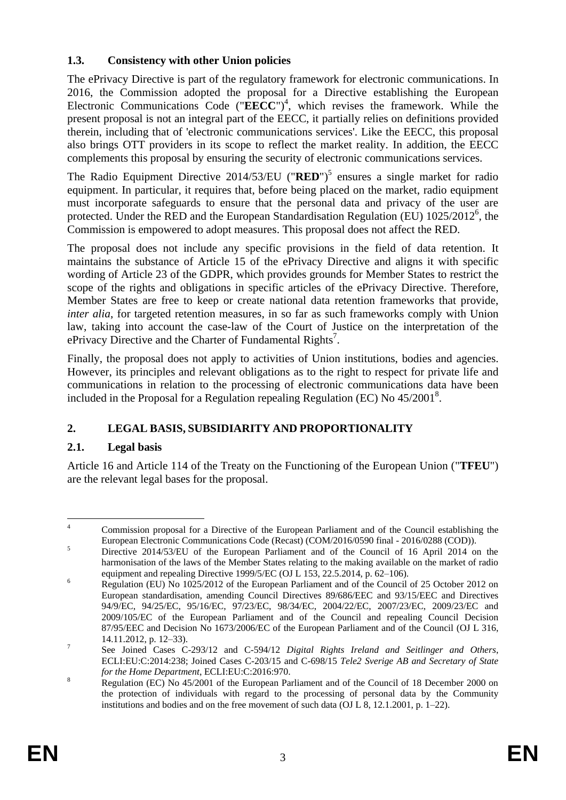## **1.3. Consistency with other Union policies**

The ePrivacy Directive is part of the regulatory framework for electronic communications. In 2016, the Commission adopted the proposal for a Directive establishing the European Electronic Communications Code (" $\mathbf{\overline{E}\overline{E}\overline{C}\overline{C}}$ ")<sup>4</sup>, which revises the framework. While the present proposal is not an integral part of the EECC, it partially relies on definitions provided therein, including that of 'electronic communications services'. Like the EECC, this proposal also brings OTT providers in its scope to reflect the market reality. In addition, the EECC complements this proposal by ensuring the security of electronic communications services.

The Radio Equipment Directive 2014/53/EU ("**RED**") 5 ensures a single market for radio equipment. In particular, it requires that, before being placed on the market, radio equipment must incorporate safeguards to ensure that the personal data and privacy of the user are protected. Under the RED and the European Standardisation Regulation (EU) 1025/2012<sup>6</sup>, the Commission is empowered to adopt measures. This proposal does not affect the RED.

The proposal does not include any specific provisions in the field of data retention. It maintains the substance of Article 15 of the ePrivacy Directive and aligns it with specific wording of Article 23 of the GDPR, which provides grounds for Member States to restrict the scope of the rights and obligations in specific articles of the ePrivacy Directive. Therefore, Member States are free to keep or create national data retention frameworks that provide, *inter alia*, for targeted retention measures, in so far as such frameworks comply with Union law, taking into account the case-law of the Court of Justice on the interpretation of the ePrivacy Directive and the Charter of Fundamental Rights<sup>7</sup>.

Finally, the proposal does not apply to activities of Union institutions, bodies and agencies. However, its principles and relevant obligations as to the right to respect for private life and communications in relation to the processing of electronic communications data have been included in the Proposal for a Regulation repealing Regulation (EC) No 45/2001<sup>8</sup>.

# **2. LEGAL BASIS, SUBSIDIARITY AND PROPORTIONALITY**

# **2.1. Legal basis**

Article 16 and Article 114 of the Treaty on the Functioning of the European Union ("**TFEU**") are the relevant legal bases for the proposal.

 $\overline{4}$ <sup>4</sup> Commission proposal for a Directive of the European Parliament and of the Council establishing the European Electronic Communications Code (Recast) (COM/2016/0590 final - 2016/0288 (COD)).

<sup>&</sup>lt;sup>5</sup> Directive 2014/53/EU of the European Parliament and of the Council of 16 April 2014 on the harmonisation of the laws of the Member States relating to the making available on the market of radio equipment and repealing Directive 1999/5/EC (OJ L 153, 22.5.2014, p. 62–106).

<sup>&</sup>lt;sup>6</sup> Regulation (EU) No 1025/2012 of the European Parliament and of the Council of 25 October 2012 on European standardisation, amending Council Directives 89/686/EEC and 93/15/EEC and Directives 94/9/EC, 94/25/EC, 95/16/EC, 97/23/EC, 98/34/EC, 2004/22/EC, 2007/23/EC, 2009/23/EC and 2009/105/EC of the European Parliament and of the Council and repealing Council Decision 87/95/EEC and Decision No 1673/2006/EC of the European Parliament and of the Council (OJ L 316, 14.11.2012, p. 12–33).

<sup>7</sup> See Joined Cases C-293/12 and C-594/12 *Digital Rights Ireland and Seitlinger and Others*, ECLI:EU:C:2014:238; Joined Cases C-203/15 and C-698/15 *Tele2 Sverige AB and Secretary of State for the Home Department*, ECLI:EU:C:2016:970.

<sup>&</sup>lt;sup>8</sup> Regulation (EC) No 45/2001 of the European Parliament and of the Council of 18 December 2000 on the protection of individuals with regard to the processing of personal data by the Community institutions and bodies and on the free movement of such data (OJ L 8, 12.1.2001, p. 1–22).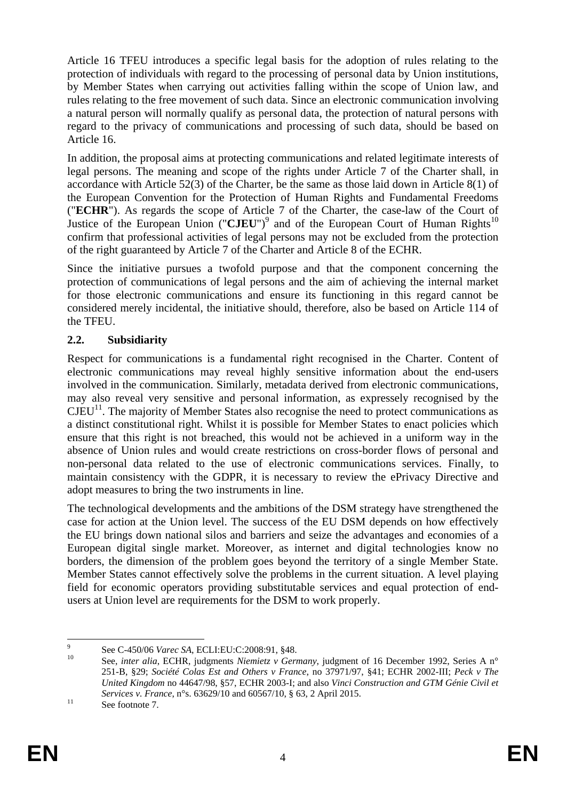Article 16 TFEU introduces a specific legal basis for the adoption of rules relating to the protection of individuals with regard to the processing of personal data by Union institutions, by Member States when carrying out activities falling within the scope of Union law, and rules relating to the free movement of such data. Since an electronic communication involving a natural person will normally qualify as personal data, the protection of natural persons with regard to the privacy of communications and processing of such data, should be based on Article 16.

In addition, the proposal aims at protecting communications and related legitimate interests of legal persons. The meaning and scope of the rights under Article 7 of the Charter shall, in accordance with Article 52(3) of the Charter, be the same as those laid down in Article 8(1) of the European Convention for the Protection of Human Rights and Fundamental Freedoms ("**ECHR**"). As regards the scope of Article 7 of the Charter, the case-law of the Court of Justice of the European Union (" $CJEU$ ")<sup>9</sup> and of the European Court of Human Rights<sup>10</sup> confirm that professional activities of legal persons may not be excluded from the protection of the right guaranteed by Article 7 of the Charter and Article 8 of the ECHR.

Since the initiative pursues a twofold purpose and that the component concerning the protection of communications of legal persons and the aim of achieving the internal market for those electronic communications and ensure its functioning in this regard cannot be considered merely incidental, the initiative should, therefore, also be based on Article 114 of the TFEU.

### **2.2. Subsidiarity**

Respect for communications is a fundamental right recognised in the Charter. Content of electronic communications may reveal highly sensitive information about the end-users involved in the communication. Similarly, metadata derived from electronic communications, may also reveal very sensitive and personal information, as expressely recognised by the  $CJEU<sup>11</sup>$ . The majority of Member States also recognise the need to protect communications as a distinct constitutional right. Whilst it is possible for Member States to enact policies which ensure that this right is not breached, this would not be achieved in a uniform way in the absence of Union rules and would create restrictions on cross-border flows of personal and non-personal data related to the use of electronic communications services. Finally, to maintain consistency with the GDPR, it is necessary to review the ePrivacy Directive and adopt measures to bring the two instruments in line.

The technological developments and the ambitions of the DSM strategy have strengthened the case for action at the Union level. The success of the EU DSM depends on how effectively the EU brings down national silos and barriers and seize the advantages and economies of a European digital single market. Moreover, as internet and digital technologies know no borders, the dimension of the problem goes beyond the territory of a single Member State. Member States cannot effectively solve the problems in the current situation. A level playing field for economic operators providing substitutable services and equal protection of endusers at Union level are requirements for the DSM to work properly.

<sup>–&</sup>lt;br>9 See C-450/06 *Varec SA*, ECLI:EU:C:2008:91, §48.

<sup>10</sup> See, *inter alia*, ECHR, judgments *Niemietz v Germany*, judgment of 16 December 1992, Series A n° 251-B, §29; *Société Colas Est and Others v France*, no 37971/97, §41; ECHR 2002-III; *Peck v The United Kingdom* no 44647/98, §57, ECHR 2003-I; and also *Vinci Construction and GTM Génie Civil et Services v. France*, n°s. 63629/10 and 60567/10, § 63, 2 April 2015.

<sup>&</sup>lt;sup>11</sup> See footnote 7.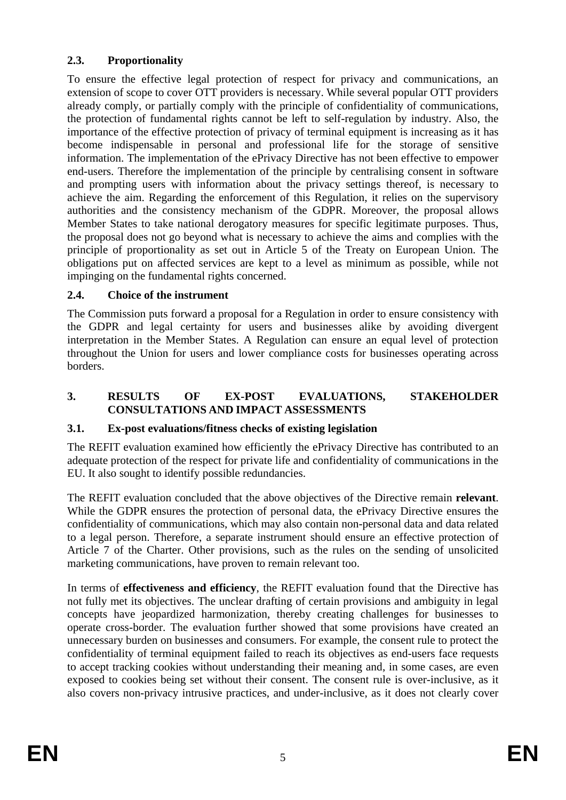## **2.3. Proportionality**

To ensure the effective legal protection of respect for privacy and communications, an extension of scope to cover OTT providers is necessary. While several popular OTT providers already comply, or partially comply with the principle of confidentiality of communications, the protection of fundamental rights cannot be left to self-regulation by industry. Also, the importance of the effective protection of privacy of terminal equipment is increasing as it has become indispensable in personal and professional life for the storage of sensitive information. The implementation of the ePrivacy Directive has not been effective to empower end-users. Therefore the implementation of the principle by centralising consent in software and prompting users with information about the privacy settings thereof, is necessary to achieve the aim. Regarding the enforcement of this Regulation, it relies on the supervisory authorities and the consistency mechanism of the GDPR. Moreover, the proposal allows Member States to take national derogatory measures for specific legitimate purposes. Thus, the proposal does not go beyond what is necessary to achieve the aims and complies with the principle of proportionality as set out in Article 5 of the Treaty on European Union. The obligations put on affected services are kept to a level as minimum as possible, while not impinging on the fundamental rights concerned.

## **2.4. Choice of the instrument**

The Commission puts forward a proposal for a Regulation in order to ensure consistency with the GDPR and legal certainty for users and businesses alike by avoiding divergent interpretation in the Member States. A Regulation can ensure an equal level of protection throughout the Union for users and lower compliance costs for businesses operating across borders.

### **3. RESULTS OF EX-POST EVALUATIONS, STAKEHOLDER CONSULTATIONS AND IMPACT ASSESSMENTS**

### **3.1. Ex-post evaluations/fitness checks of existing legislation**

The REFIT evaluation examined how efficiently the ePrivacy Directive has contributed to an adequate protection of the respect for private life and confidentiality of communications in the EU. It also sought to identify possible redundancies.

The REFIT evaluation concluded that the above objectives of the Directive remain **relevant**. While the GDPR ensures the protection of personal data, the ePrivacy Directive ensures the confidentiality of communications, which may also contain non-personal data and data related to a legal person. Therefore, a separate instrument should ensure an effective protection of Article 7 of the Charter. Other provisions, such as the rules on the sending of unsolicited marketing communications, have proven to remain relevant too.

In terms of **effectiveness and efficiency**, the REFIT evaluation found that the Directive has not fully met its objectives. The unclear drafting of certain provisions and ambiguity in legal concepts have jeopardized harmonization, thereby creating challenges for businesses to operate cross-border. The evaluation further showed that some provisions have created an unnecessary burden on businesses and consumers. For example, the consent rule to protect the confidentiality of terminal equipment failed to reach its objectives as end-users face requests to accept tracking cookies without understanding their meaning and, in some cases, are even exposed to cookies being set without their consent. The consent rule is over-inclusive, as it also covers non-privacy intrusive practices, and under-inclusive, as it does not clearly cover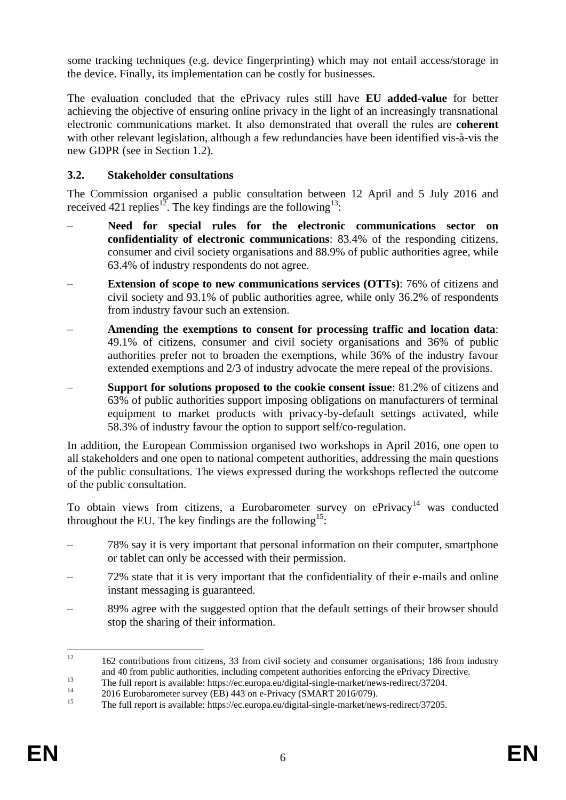some tracking techniques (e.g. device fingerprinting) which may not entail access/storage in the device. Finally, its implementation can be costly for businesses.

The evaluation concluded that the ePrivacy rules still have **EU added-value** for better achieving the objective of ensuring online privacy in the light of an increasingly transnational electronic communications market. It also demonstrated that overall the rules are **coherent** with other relevant legislation, although a few redundancies have been identified vis-à-vis the new GDPR (see in Section 1.2).

## **3.2. Stakeholder consultations**

The Commission organised a public consultation between 12 April and 5 July 2016 and received 421 replies<sup>12</sup>. The key findings are the following<sup>13</sup>:

- **Need for special rules for the electronic communications sector on confidentiality of electronic communications**: 83.4% of the responding citizens, consumer and civil society organisations and 88.9% of public authorities agree, while 63.4% of industry respondents do not agree.
- **Extension of scope to new communications services (OTTs)**: 76% of citizens and civil society and 93.1% of public authorities agree, while only 36.2% of respondents from industry favour such an extension.
- **Amending the exemptions to consent for processing traffic and location data**: 49.1% of citizens, consumer and civil society organisations and 36% of public authorities prefer not to broaden the exemptions, while 36% of the industry favour extended exemptions and 2/3 of industry advocate the mere repeal of the provisions.
- **Support for solutions proposed to the cookie consent issue**: 81.2% of citizens and 63% of public authorities support imposing obligations on manufacturers of terminal equipment to market products with privacy-by-default settings activated, while 58.3% of industry favour the option to support self/co-regulation.

In addition, the European Commission organised two workshops in April 2016, one open to all stakeholders and one open to national competent authorities, addressing the main questions of the public consultations. The views expressed during the workshops reflected the outcome of the public consultation.

To obtain views from citizens, a Eurobarometer survey on  $ePrivacy$ <sup>14</sup> was conducted throughout the EU. The key findings are the following<sup>15</sup>:

- 78% say it is very important that personal information on their computer, smartphone or tablet can only be accessed with their permission.
- 72% state that it is very important that the confidentiality of their e-mails and online instant messaging is guaranteed.
- 89% agree with the suggested option that the default settings of their browser should stop the sharing of their information.

 $12$ <sup>12</sup> 162 contributions from citizens, 33 from civil society and consumer organisations; 186 from industry and 40 from public authorities, including competent authorities enforcing the ePrivacy Directive.

<sup>13</sup> The full report is available: https://ec.europa.eu/digital-single-market/news-redirect/37204.

<sup>&</sup>lt;sup>14</sup> 2016 Eurobarometer survey (EB) 443 on e-Privacy (SMART 2016/079).<br><sup>15</sup> The full report is evaluable: https://oc. europe. ev/digital.single. market/poy

<sup>15</sup> The full report is available: https://ec.europa.eu/digital-single-market/news-redirect/37205.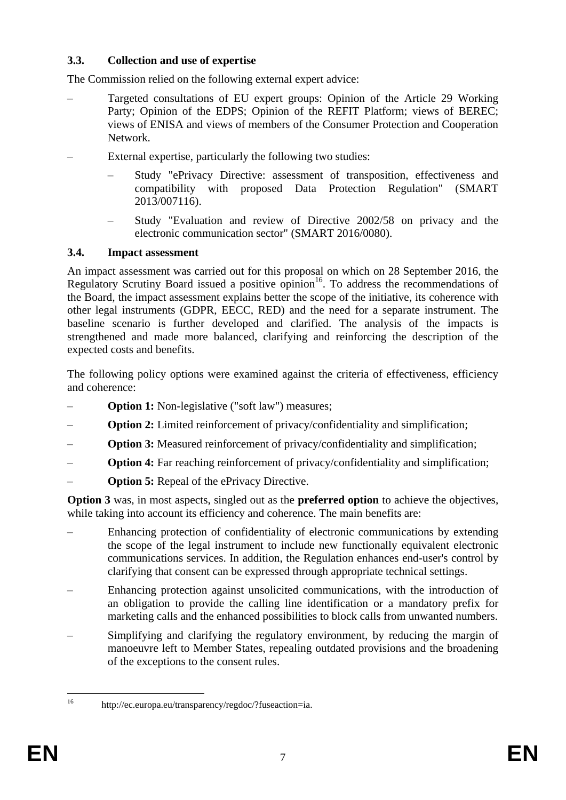### **3.3. Collection and use of expertise**

The Commission relied on the following external expert advice:

- Targeted consultations of EU expert groups: Opinion of the Article 29 Working Party; Opinion of the EDPS; Opinion of the REFIT Platform; views of BEREC; views of ENISA and views of members of the Consumer Protection and Cooperation Network.
- External expertise, particularly the following two studies:
	- Study "ePrivacy Directive: assessment of transposition, effectiveness and compatibility with proposed Data Protection Regulation" (SMART 2013/007116).
	- Study "Evaluation and review of Directive 2002/58 on privacy and the electronic communication sector" (SMART 2016/0080).

### **3.4. Impact assessment**

An impact assessment was carried out for this proposal on which on 28 September 2016, the Regulatory Scrutiny Board issued a positive opinion<sup>16</sup>. To address the recommendations of the Board, the impact assessment explains better the scope of the initiative, its coherence with other legal instruments (GDPR, EECC, RED) and the need for a separate instrument. The baseline scenario is further developed and clarified. The analysis of the impacts is strengthened and made more balanced, clarifying and reinforcing the description of the expected costs and benefits.

The following policy options were examined against the criteria of effectiveness, efficiency and coherence:

- **Option 1:** Non-legislative ("soft law") measures;
- **Option 2:** Limited reinforcement of privacy/confidentiality and simplification;
- **Option 3:** Measured reinforcement of privacy/confidentiality and simplification;
- **Option 4:** Far reaching reinforcement of privacy/confidentiality and simplification;
- **Option 5:** Repeal of the ePrivacy Directive.

**Option 3** was, in most aspects, singled out as the **preferred option** to achieve the objectives, while taking into account its efficiency and coherence. The main benefits are:

- Enhancing protection of confidentiality of electronic communications by extending the scope of the legal instrument to include new functionally equivalent electronic communications services. In addition, the Regulation enhances end-user's control by clarifying that consent can be expressed through appropriate technical settings.
- Enhancing protection against unsolicited communications, with the introduction of an obligation to provide the calling line identification or a mandatory prefix for marketing calls and the enhanced possibilities to block calls from unwanted numbers.
- Simplifying and clarifying the regulatory environment, by reducing the margin of manoeuvre left to Member States, repealing outdated provisions and the broadening of the exceptions to the consent rules.

 $16$ http://ec.europa.eu/transparency/regdoc/?fuseaction=ia.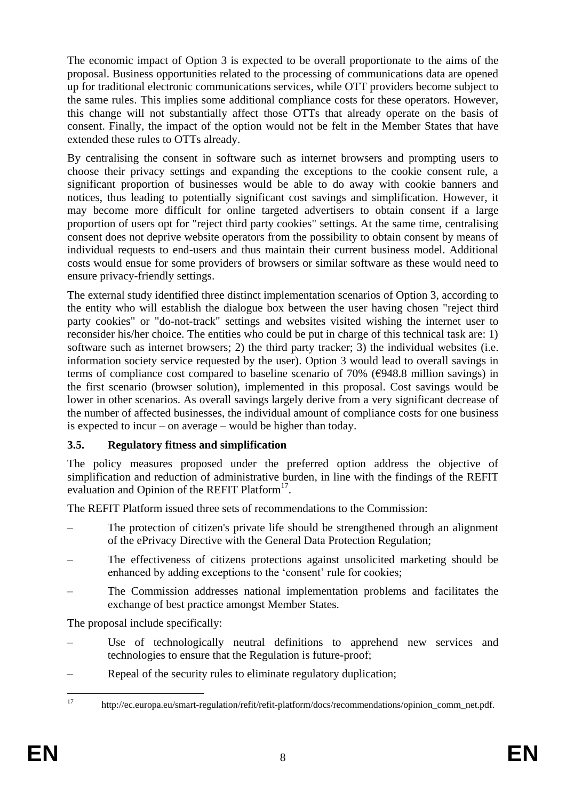The economic impact of Option 3 is expected to be overall proportionate to the aims of the proposal. Business opportunities related to the processing of communications data are opened up for traditional electronic communications services, while OTT providers become subject to the same rules. This implies some additional compliance costs for these operators. However, this change will not substantially affect those OTTs that already operate on the basis of consent. Finally, the impact of the option would not be felt in the Member States that have extended these rules to OTTs already.

By centralising the consent in software such as internet browsers and prompting users to choose their privacy settings and expanding the exceptions to the cookie consent rule, a significant proportion of businesses would be able to do away with cookie banners and notices, thus leading to potentially significant cost savings and simplification. However, it may become more difficult for online targeted advertisers to obtain consent if a large proportion of users opt for "reject third party cookies" settings. At the same time, centralising consent does not deprive website operators from the possibility to obtain consent by means of individual requests to end-users and thus maintain their current business model. Additional costs would ensue for some providers of browsers or similar software as these would need to ensure privacy-friendly settings.

The external study identified three distinct implementation scenarios of Option 3, according to the entity who will establish the dialogue box between the user having chosen "reject third party cookies" or "do-not-track" settings and websites visited wishing the internet user to reconsider his/her choice. The entities who could be put in charge of this technical task are: 1) software such as internet browsers; 2) the third party tracker; 3) the individual websites (i.e. information society service requested by the user). Option 3 would lead to overall savings in terms of compliance cost compared to baseline scenario of 70% ( $\epsilon$ 948.8 million savings) in the first scenario (browser solution), implemented in this proposal. Cost savings would be lower in other scenarios. As overall savings largely derive from a very significant decrease of the number of affected businesses, the individual amount of compliance costs for one business is expected to incur – on average – would be higher than today.

# **3.5. Regulatory fitness and simplification**

The policy measures proposed under the preferred option address the objective of simplification and reduction of administrative burden, in line with the findings of the REFIT evaluation and Opinion of the REFIT Platform<sup>17</sup>.

The REFIT Platform issued three sets of recommendations to the Commission:

- The protection of citizen's private life should be strengthened through an alignment of the ePrivacy Directive with the General Data Protection Regulation;
- The effectiveness of citizens protections against unsolicited marketing should be enhanced by adding exceptions to the 'consent' rule for cookies;
- The Commission addresses national implementation problems and facilitates the exchange of best practice amongst Member States.

The proposal include specifically:

- Use of technologically neutral definitions to apprehend new services and technologies to ensure that the Regulation is future-proof;
- Repeal of the security rules to eliminate regulatory duplication;

 $17$ <sup>17</sup> http://ec.europa.eu/smart-regulation/refit/refit-platform/docs/recommendations/opinion\_comm\_net.pdf.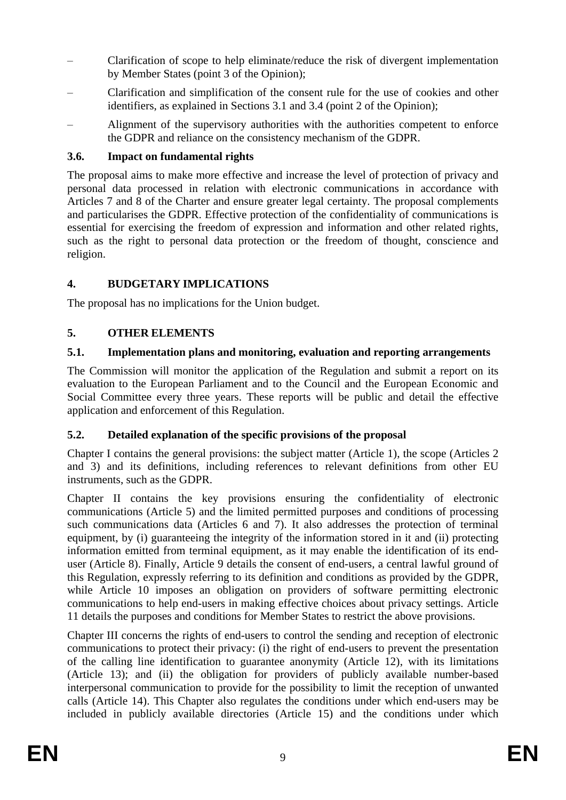- Clarification of scope to help eliminate/reduce the risk of divergent implementation by Member States (point 3 of the Opinion);
- Clarification and simplification of the consent rule for the use of cookies and other identifiers, as explained in Sections 3.1 and 3.4 (point 2 of the Opinion);
- Alignment of the supervisory authorities with the authorities competent to enforce the GDPR and reliance on the consistency mechanism of the GDPR.

## **3.6. Impact on fundamental rights**

The proposal aims to make more effective and increase the level of protection of privacy and personal data processed in relation with electronic communications in accordance with Articles 7 and 8 of the Charter and ensure greater legal certainty. The proposal complements and particularises the GDPR. Effective protection of the confidentiality of communications is essential for exercising the freedom of expression and information and other related rights, such as the right to personal data protection or the freedom of thought, conscience and religion.

## **4. BUDGETARY IMPLICATIONS**

The proposal has no implications for the Union budget.

## **5. OTHER ELEMENTS**

## **5.1. Implementation plans and monitoring, evaluation and reporting arrangements**

The Commission will monitor the application of the Regulation and submit a report on its evaluation to the European Parliament and to the Council and the European Economic and Social Committee every three years. These reports will be public and detail the effective application and enforcement of this Regulation.

### **5.2. Detailed explanation of the specific provisions of the proposal**

Chapter I contains the general provisions: the subject matter (Article 1), the scope (Articles 2 and 3) and its definitions, including references to relevant definitions from other EU instruments, such as the GDPR.

Chapter II contains the key provisions ensuring the confidentiality of electronic communications (Article 5) and the limited permitted purposes and conditions of processing such communications data (Articles 6 and 7). It also addresses the protection of terminal equipment, by (i) guaranteeing the integrity of the information stored in it and (ii) protecting information emitted from terminal equipment, as it may enable the identification of its enduser (Article 8). Finally, Article 9 details the consent of end-users, a central lawful ground of this Regulation, expressly referring to its definition and conditions as provided by the GDPR, while Article 10 imposes an obligation on providers of software permitting electronic communications to help end-users in making effective choices about privacy settings. Article 11 details the purposes and conditions for Member States to restrict the above provisions.

Chapter III concerns the rights of end-users to control the sending and reception of electronic communications to protect their privacy: (i) the right of end-users to prevent the presentation of the calling line identification to guarantee anonymity (Article 12), with its limitations (Article 13); and (ii) the obligation for providers of publicly available number-based interpersonal communication to provide for the possibility to limit the reception of unwanted calls (Article 14). This Chapter also regulates the conditions under which end-users may be included in publicly available directories (Article 15) and the conditions under which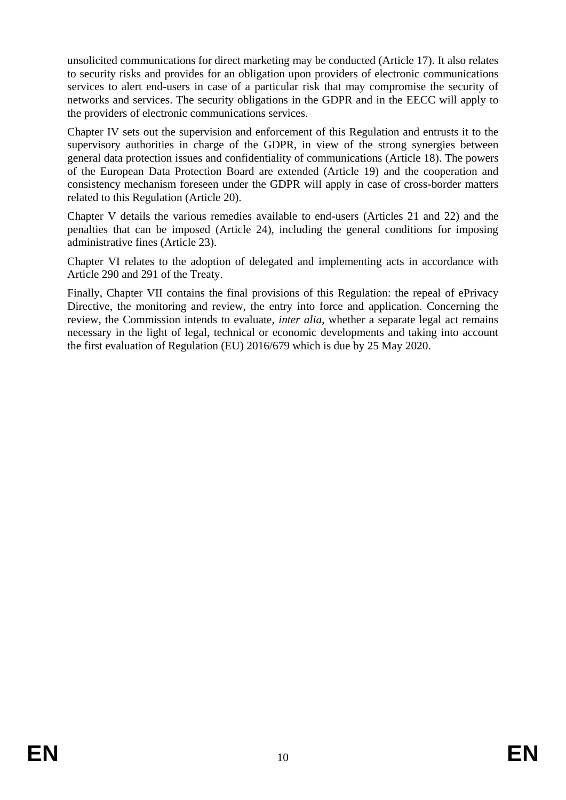unsolicited communications for direct marketing may be conducted (Article 17). It also relates to security risks and provides for an obligation upon providers of electronic communications services to alert end-users in case of a particular risk that may compromise the security of networks and services. The security obligations in the GDPR and in the EECC will apply to the providers of electronic communications services.

Chapter IV sets out the supervision and enforcement of this Regulation and entrusts it to the supervisory authorities in charge of the GDPR, in view of the strong synergies between general data protection issues and confidentiality of communications (Article 18). The powers of the European Data Protection Board are extended (Article 19) and the cooperation and consistency mechanism foreseen under the GDPR will apply in case of cross-border matters related to this Regulation (Article 20).

Chapter V details the various remedies available to end-users (Articles 21 and 22) and the penalties that can be imposed (Article 24), including the general conditions for imposing administrative fines (Article 23).

Chapter VI relates to the adoption of delegated and implementing acts in accordance with Article 290 and 291 of the Treaty.

Finally, Chapter VII contains the final provisions of this Regulation: the repeal of ePrivacy Directive, the monitoring and review, the entry into force and application. Concerning the review, the Commission intends to evaluate, *inter alia*, whether a separate legal act remains necessary in the light of legal, technical or economic developments and taking into account the first evaluation of Regulation (EU) 2016/679 which is due by 25 May 2020.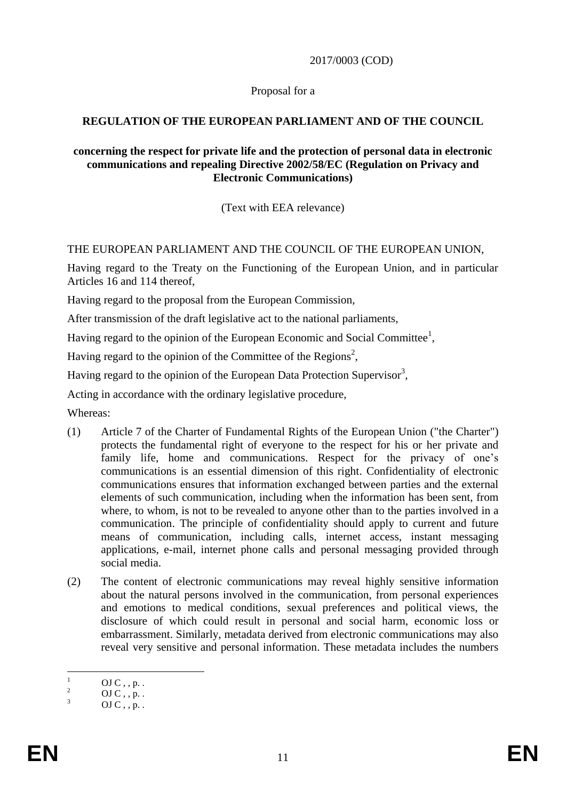2017/0003 (COD)

Proposal for a

## **REGULATION OF THE EUROPEAN PARLIAMENT AND OF THE COUNCIL**

#### **concerning the respect for private life and the protection of personal data in electronic communications and repealing Directive 2002/58/EC (Regulation on Privacy and Electronic Communications)**

(Text with EEA relevance)

## THE EUROPEAN PARLIAMENT AND THE COUNCIL OF THE EUROPEAN UNION,

Having regard to the Treaty on the Functioning of the European Union, and in particular Articles 16 and 114 thereof,

Having regard to the proposal from the European Commission,

After transmission of the draft legislative act to the national parliaments,

Having regard to the opinion of the European Economic and Social Committee<sup>1</sup>,

Having regard to the opinion of the Committee of the Regions<sup>2</sup>,

Having regard to the opinion of the European Data Protection Supervisor<sup>3</sup>,

Acting in accordance with the ordinary legislative procedure,

Whereas:

- (1) Article 7 of the Charter of Fundamental Rights of the European Union ("the Charter") protects the fundamental right of everyone to the respect for his or her private and family life, home and communications. Respect for the privacy of one's communications is an essential dimension of this right. Confidentiality of electronic communications ensures that information exchanged between parties and the external elements of such communication, including when the information has been sent, from where, to whom, is not to be revealed to anyone other than to the parties involved in a communication. The principle of confidentiality should apply to current and future means of communication, including calls, internet access, instant messaging applications, e-mail, internet phone calls and personal messaging provided through social media.
- (2) The content of electronic communications may reveal highly sensitive information about the natural persons involved in the communication, from personal experiences and emotions to medical conditions, sexual preferences and political views, the disclosure of which could result in personal and social harm, economic loss or embarrassment. Similarly, metadata derived from electronic communications may also reveal very sensitive and personal information. These metadata includes the numbers

 $\overline{1}$  $\frac{1}{2}$  OJ C, , p. .

 $\frac{2}{3}$  OJ C, , p. .

 $OJ C$ , , p. .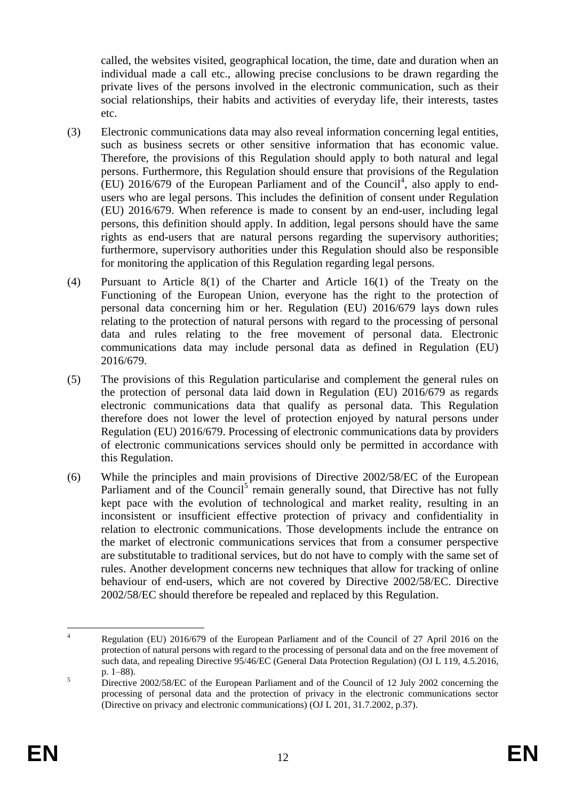called, the websites visited, geographical location, the time, date and duration when an individual made a call etc., allowing precise conclusions to be drawn regarding the private lives of the persons involved in the electronic communication, such as their social relationships, their habits and activities of everyday life, their interests, tastes etc.

- (3) Electronic communications data may also reveal information concerning legal entities, such as business secrets or other sensitive information that has economic value. Therefore, the provisions of this Regulation should apply to both natural and legal persons. Furthermore, this Regulation should ensure that provisions of the Regulation  $(EU)$  2016/679 of the European Parliament and of the Council<sup>4</sup>, also apply to endusers who are legal persons. This includes the definition of consent under Regulation (EU) 2016/679. When reference is made to consent by an end-user, including legal persons, this definition should apply. In addition, legal persons should have the same rights as end-users that are natural persons regarding the supervisory authorities; furthermore, supervisory authorities under this Regulation should also be responsible for monitoring the application of this Regulation regarding legal persons.
- (4) Pursuant to Article 8(1) of the Charter and Article 16(1) of the Treaty on the Functioning of the European Union, everyone has the right to the protection of personal data concerning him or her. Regulation (EU) 2016/679 lays down rules relating to the protection of natural persons with regard to the processing of personal data and rules relating to the free movement of personal data. Electronic communications data may include personal data as defined in Regulation (EU) 2016/679.
- (5) The provisions of this Regulation particularise and complement the general rules on the protection of personal data laid down in Regulation (EU) 2016/679 as regards electronic communications data that qualify as personal data. This Regulation therefore does not lower the level of protection enjoyed by natural persons under Regulation (EU) 2016/679. Processing of electronic communications data by providers of electronic communications services should only be permitted in accordance with this Regulation.
- (6) While the principles and main provisions of Directive 2002/58/EC of the European Parliament and of the Council<sup>5</sup> remain generally sound, that Directive has not fully kept pace with the evolution of technological and market reality, resulting in an inconsistent or insufficient effective protection of privacy and confidentiality in relation to electronic communications. Those developments include the entrance on the market of electronic communications services that from a consumer perspective are substitutable to traditional services, but do not have to comply with the same set of rules. Another development concerns new techniques that allow for tracking of online behaviour of end-users, which are not covered by Directive 2002/58/EC. Directive 2002/58/EC should therefore be repealed and replaced by this Regulation.

 $\overline{A}$ <sup>4</sup> Regulation (EU) 2016/679 of the European Parliament and of the Council of 27 April 2016 on the protection of natural persons with regard to the processing of personal data and on the free movement of such data, and repealing Directive 95/46/EC (General Data Protection Regulation) (OJ L 119, 4.5.2016, p. 1–88).

<sup>&</sup>lt;sup>5</sup> Directive 2002/58/EC of the European Parliament and of the Council of 12 July 2002 concerning the processing of personal data and the protection of privacy in the electronic communications sector (Directive on privacy and electronic communications) (OJ L 201, 31.7.2002, p.37).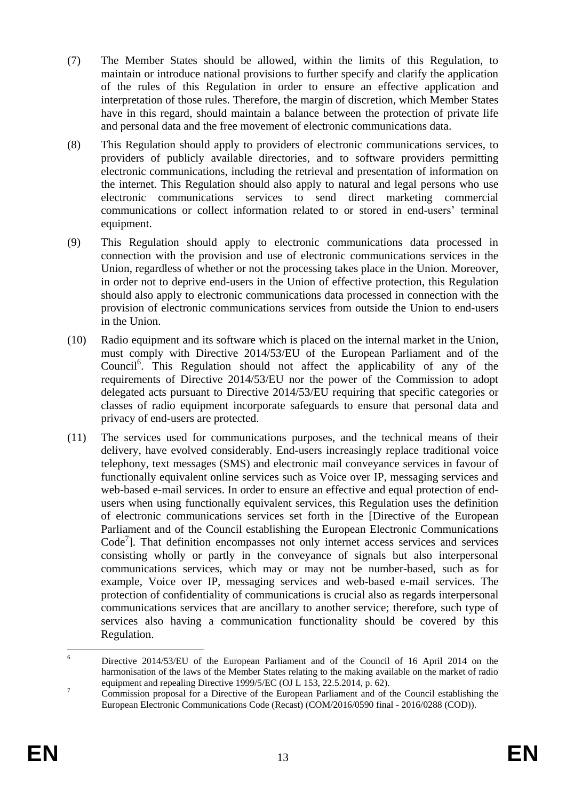- (7) The Member States should be allowed, within the limits of this Regulation, to maintain or introduce national provisions to further specify and clarify the application of the rules of this Regulation in order to ensure an effective application and interpretation of those rules. Therefore, the margin of discretion, which Member States have in this regard, should maintain a balance between the protection of private life and personal data and the free movement of electronic communications data.
- (8) This Regulation should apply to providers of electronic communications services, to providers of publicly available directories, and to software providers permitting electronic communications, including the retrieval and presentation of information on the internet. This Regulation should also apply to natural and legal persons who use electronic communications services to send direct marketing commercial communications or collect information related to or stored in end-users' terminal equipment.
- (9) This Regulation should apply to electronic communications data processed in connection with the provision and use of electronic communications services in the Union, regardless of whether or not the processing takes place in the Union. Moreover, in order not to deprive end-users in the Union of effective protection, this Regulation should also apply to electronic communications data processed in connection with the provision of electronic communications services from outside the Union to end-users in the Union.
- (10) Radio equipment and its software which is placed on the internal market in the Union, must comply with Directive 2014/53/EU of the European Parliament and of the Council<sup>6</sup>. This Regulation should not affect the applicability of any of the requirements of Directive 2014/53/EU nor the power of the Commission to adopt delegated acts pursuant to Directive 2014/53/EU requiring that specific categories or classes of radio equipment incorporate safeguards to ensure that personal data and privacy of end-users are protected.
- (11) The services used for communications purposes, and the technical means of their delivery, have evolved considerably. End-users increasingly replace traditional voice telephony, text messages (SMS) and electronic mail conveyance services in favour of functionally equivalent online services such as Voice over IP, messaging services and web-based e-mail services. In order to ensure an effective and equal protection of endusers when using functionally equivalent services, this Regulation uses the definition of electronic communications services set forth in the [Directive of the European Parliament and of the Council establishing the European Electronic Communications  $Code<sup>7</sup>]$ . That definition encompasses not only internet access services and services consisting wholly or partly in the conveyance of signals but also interpersonal communications services, which may or may not be number-based, such as for example, Voice over IP, messaging services and web-based e-mail services. The protection of confidentiality of communications is crucial also as regards interpersonal communications services that are ancillary to another service; therefore, such type of services also having a communication functionality should be covered by this Regulation.

 $\overline{6}$ <sup>6</sup> Directive 2014/53/EU of the European Parliament and of the Council of 16 April 2014 on the harmonisation of the laws of the Member States relating to the making available on the market of radio equipment and repealing Directive 1999/5/EC (OJ L 153, 22.5.2014, p. 62).

<sup>&</sup>lt;sup>7</sup> Commission proposal for a Directive of the European Parliament and of the Council establishing the European Electronic Communications Code (Recast) (COM/2016/0590 final - 2016/0288 (COD)).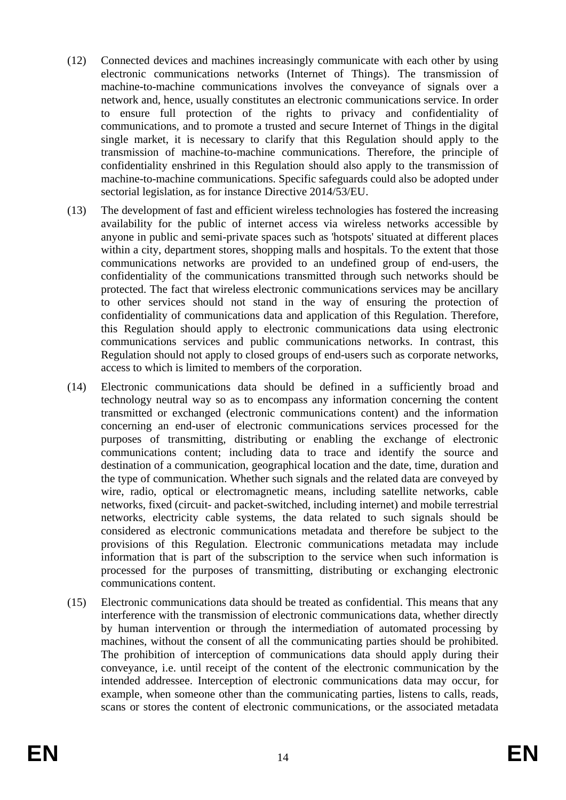- (12) Connected devices and machines increasingly communicate with each other by using electronic communications networks (Internet of Things). The transmission of machine-to-machine communications involves the conveyance of signals over a network and, hence, usually constitutes an electronic communications service. In order to ensure full protection of the rights to privacy and confidentiality of communications, and to promote a trusted and secure Internet of Things in the digital single market, it is necessary to clarify that this Regulation should apply to the transmission of machine-to-machine communications. Therefore, the principle of confidentiality enshrined in this Regulation should also apply to the transmission of machine-to-machine communications. Specific safeguards could also be adopted under sectorial legislation, as for instance Directive 2014/53/EU.
- (13) The development of fast and efficient wireless technologies has fostered the increasing availability for the public of internet access via wireless networks accessible by anyone in public and semi-private spaces such as 'hotspots' situated at different places within a city, department stores, shopping malls and hospitals. To the extent that those communications networks are provided to an undefined group of end-users, the confidentiality of the communications transmitted through such networks should be protected. The fact that wireless electronic communications services may be ancillary to other services should not stand in the way of ensuring the protection of confidentiality of communications data and application of this Regulation. Therefore, this Regulation should apply to electronic communications data using electronic communications services and public communications networks. In contrast, this Regulation should not apply to closed groups of end-users such as corporate networks, access to which is limited to members of the corporation.
- (14) Electronic communications data should be defined in a sufficiently broad and technology neutral way so as to encompass any information concerning the content transmitted or exchanged (electronic communications content) and the information concerning an end-user of electronic communications services processed for the purposes of transmitting, distributing or enabling the exchange of electronic communications content; including data to trace and identify the source and destination of a communication, geographical location and the date, time, duration and the type of communication. Whether such signals and the related data are conveyed by wire, radio, optical or electromagnetic means, including satellite networks, cable networks, fixed (circuit- and packet-switched, including internet) and mobile terrestrial networks, electricity cable systems, the data related to such signals should be considered as electronic communications metadata and therefore be subject to the provisions of this Regulation. Electronic communications metadata may include information that is part of the subscription to the service when such information is processed for the purposes of transmitting, distributing or exchanging electronic communications content.
- (15) Electronic communications data should be treated as confidential. This means that any interference with the transmission of electronic communications data, whether directly by human intervention or through the intermediation of automated processing by machines, without the consent of all the communicating parties should be prohibited. The prohibition of interception of communications data should apply during their conveyance, i.e. until receipt of the content of the electronic communication by the intended addressee. Interception of electronic communications data may occur, for example, when someone other than the communicating parties, listens to calls, reads, scans or stores the content of electronic communications, or the associated metadata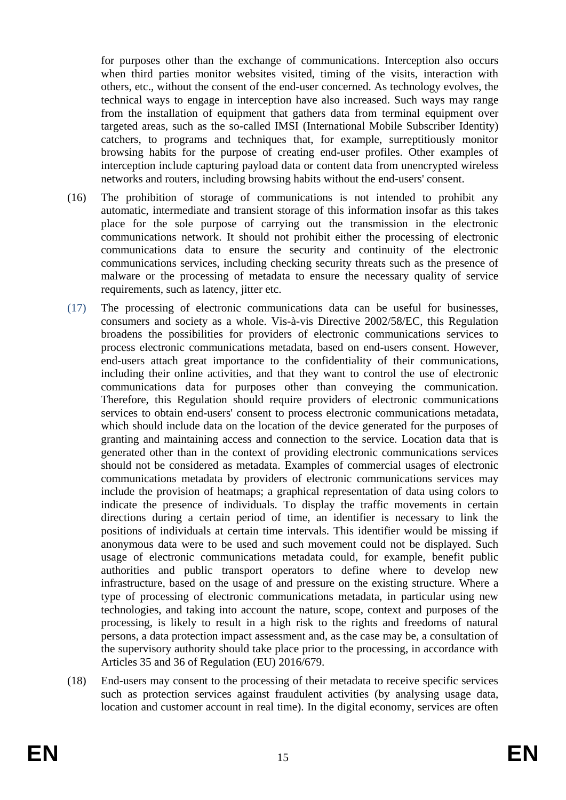for purposes other than the exchange of communications. Interception also occurs when third parties monitor websites visited, timing of the visits, interaction with others, etc., without the consent of the end-user concerned. As technology evolves, the technical ways to engage in interception have also increased. Such ways may range from the installation of equipment that gathers data from terminal equipment over targeted areas, such as the so-called IMSI (International Mobile Subscriber Identity) catchers, to programs and techniques that, for example, surreptitiously monitor browsing habits for the purpose of creating end-user profiles. Other examples of interception include capturing payload data or content data from unencrypted wireless networks and routers, including browsing habits without the end-users' consent.

- (16) The prohibition of storage of communications is not intended to prohibit any automatic, intermediate and transient storage of this information insofar as this takes place for the sole purpose of carrying out the transmission in the electronic communications network. It should not prohibit either the processing of electronic communications data to ensure the security and continuity of the electronic communications services, including checking security threats such as the presence of malware or the processing of metadata to ensure the necessary quality of service requirements, such as latency, jitter etc.
- (17) The processing of electronic communications data can be useful for businesses, consumers and society as a whole. Vis-à-vis Directive 2002/58/EC, this Regulation broadens the possibilities for providers of electronic communications services to process electronic communications metadata, based on end-users consent. However, end-users attach great importance to the confidentiality of their communications, including their online activities, and that they want to control the use of electronic communications data for purposes other than conveying the communication. Therefore, this Regulation should require providers of electronic communications services to obtain end-users' consent to process electronic communications metadata, which should include data on the location of the device generated for the purposes of granting and maintaining access and connection to the service. Location data that is generated other than in the context of providing electronic communications services should not be considered as metadata. Examples of commercial usages of electronic communications metadata by providers of electronic communications services may include the provision of heatmaps; a graphical representation of data using colors to indicate the presence of individuals. To display the traffic movements in certain directions during a certain period of time, an identifier is necessary to link the positions of individuals at certain time intervals. This identifier would be missing if anonymous data were to be used and such movement could not be displayed. Such usage of electronic communications metadata could, for example, benefit public authorities and public transport operators to define where to develop new infrastructure, based on the usage of and pressure on the existing structure. Where a type of processing of electronic communications metadata, in particular using new technologies, and taking into account the nature, scope, context and purposes of the processing, is likely to result in a high risk to the rights and freedoms of natural persons, a data protection impact assessment and, as the case may be, a consultation of the supervisory authority should take place prior to the processing, in accordance with Articles 35 and 36 of Regulation (EU) 2016/679.
- (18) End-users may consent to the processing of their metadata to receive specific services such as protection services against fraudulent activities (by analysing usage data, location and customer account in real time). In the digital economy, services are often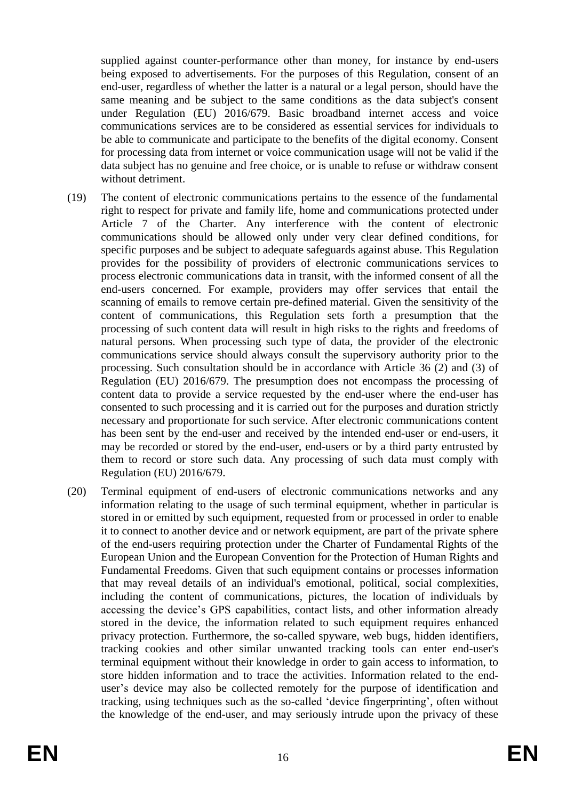supplied against counter-performance other than money, for instance by end-users being exposed to advertisements. For the purposes of this Regulation, consent of an end-user, regardless of whether the latter is a natural or a legal person, should have the same meaning and be subject to the same conditions as the data subject's consent under Regulation (EU) 2016/679. Basic broadband internet access and voice communications services are to be considered as essential services for individuals to be able to communicate and participate to the benefits of the digital economy. Consent for processing data from internet or voice communication usage will not be valid if the data subject has no genuine and free choice, or is unable to refuse or withdraw consent without detriment.

- (19) The content of electronic communications pertains to the essence of the fundamental right to respect for private and family life, home and communications protected under Article 7 of the Charter. Any interference with the content of electronic communications should be allowed only under very clear defined conditions, for specific purposes and be subject to adequate safeguards against abuse. This Regulation provides for the possibility of providers of electronic communications services to process electronic communications data in transit, with the informed consent of all the end-users concerned. For example, providers may offer services that entail the scanning of emails to remove certain pre-defined material. Given the sensitivity of the content of communications, this Regulation sets forth a presumption that the processing of such content data will result in high risks to the rights and freedoms of natural persons. When processing such type of data, the provider of the electronic communications service should always consult the supervisory authority prior to the processing. Such consultation should be in accordance with Article 36 (2) and (3) of Regulation (EU) 2016/679. The presumption does not encompass the processing of content data to provide a service requested by the end-user where the end-user has consented to such processing and it is carried out for the purposes and duration strictly necessary and proportionate for such service. After electronic communications content has been sent by the end-user and received by the intended end-user or end-users, it may be recorded or stored by the end-user, end-users or by a third party entrusted by them to record or store such data. Any processing of such data must comply with Regulation (EU) 2016/679.
- (20) Terminal equipment of end-users of electronic communications networks and any information relating to the usage of such terminal equipment, whether in particular is stored in or emitted by such equipment, requested from or processed in order to enable it to connect to another device and or network equipment, are part of the private sphere of the end-users requiring protection under the Charter of Fundamental Rights of the European Union and the European Convention for the Protection of Human Rights and Fundamental Freedoms. Given that such equipment contains or processes information that may reveal details of an individual's emotional, political, social complexities, including the content of communications, pictures, the location of individuals by accessing the device's GPS capabilities, contact lists, and other information already stored in the device, the information related to such equipment requires enhanced privacy protection. Furthermore, the so-called spyware, web bugs, hidden identifiers, tracking cookies and other similar unwanted tracking tools can enter end-user's terminal equipment without their knowledge in order to gain access to information, to store hidden information and to trace the activities. Information related to the enduser's device may also be collected remotely for the purpose of identification and tracking, using techniques such as the so-called 'device fingerprinting', often without the knowledge of the end-user, and may seriously intrude upon the privacy of these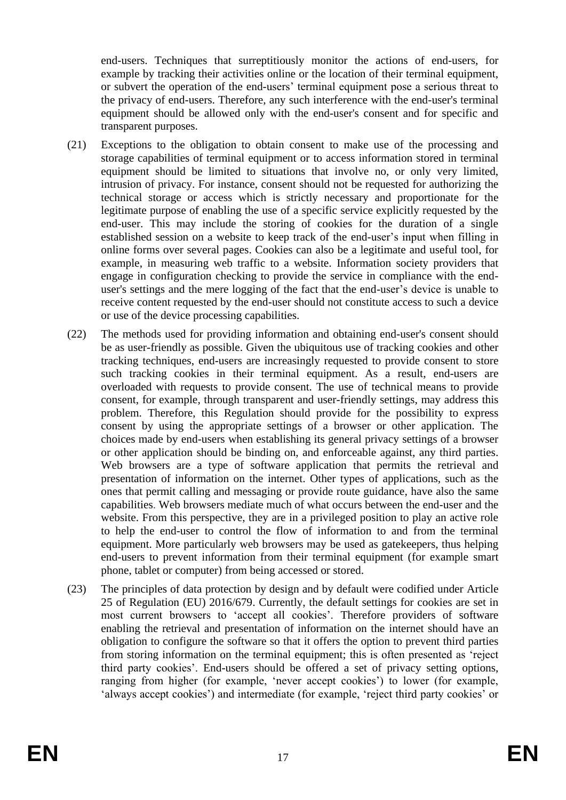end-users. Techniques that surreptitiously monitor the actions of end-users, for example by tracking their activities online or the location of their terminal equipment, or subvert the operation of the end-users' terminal equipment pose a serious threat to the privacy of end-users. Therefore, any such interference with the end-user's terminal equipment should be allowed only with the end-user's consent and for specific and transparent purposes.

- (21) Exceptions to the obligation to obtain consent to make use of the processing and storage capabilities of terminal equipment or to access information stored in terminal equipment should be limited to situations that involve no, or only very limited, intrusion of privacy. For instance, consent should not be requested for authorizing the technical storage or access which is strictly necessary and proportionate for the legitimate purpose of enabling the use of a specific service explicitly requested by the end-user. This may include the storing of cookies for the duration of a single established session on a website to keep track of the end-user's input when filling in online forms over several pages. Cookies can also be a legitimate and useful tool, for example, in measuring web traffic to a website. Information society providers that engage in configuration checking to provide the service in compliance with the enduser's settings and the mere logging of the fact that the end-user's device is unable to receive content requested by the end-user should not constitute access to such a device or use of the device processing capabilities.
- (22) The methods used for providing information and obtaining end-user's consent should be as user-friendly as possible. Given the ubiquitous use of tracking cookies and other tracking techniques, end-users are increasingly requested to provide consent to store such tracking cookies in their terminal equipment. As a result, end-users are overloaded with requests to provide consent. The use of technical means to provide consent, for example, through transparent and user-friendly settings, may address this problem. Therefore, this Regulation should provide for the possibility to express consent by using the appropriate settings of a browser or other application. The choices made by end-users when establishing its general privacy settings of a browser or other application should be binding on, and enforceable against, any third parties. Web browsers are a type of software application that permits the retrieval and presentation of information on the internet. Other types of applications, such as the ones that permit calling and messaging or provide route guidance, have also the same capabilities. Web browsers mediate much of what occurs between the end-user and the website. From this perspective, they are in a privileged position to play an active role to help the end-user to control the flow of information to and from the terminal equipment. More particularly web browsers may be used as gatekeepers, thus helping end-users to prevent information from their terminal equipment (for example smart phone, tablet or computer) from being accessed or stored.
- (23) The principles of data protection by design and by default were codified under Article 25 of Regulation (EU) 2016/679. Currently, the default settings for cookies are set in most current browsers to 'accept all cookies'. Therefore providers of software enabling the retrieval and presentation of information on the internet should have an obligation to configure the software so that it offers the option to prevent third parties from storing information on the terminal equipment; this is often presented as 'reject third party cookies'. End-users should be offered a set of privacy setting options, ranging from higher (for example, 'never accept cookies') to lower (for example, 'always accept cookies') and intermediate (for example, 'reject third party cookies' or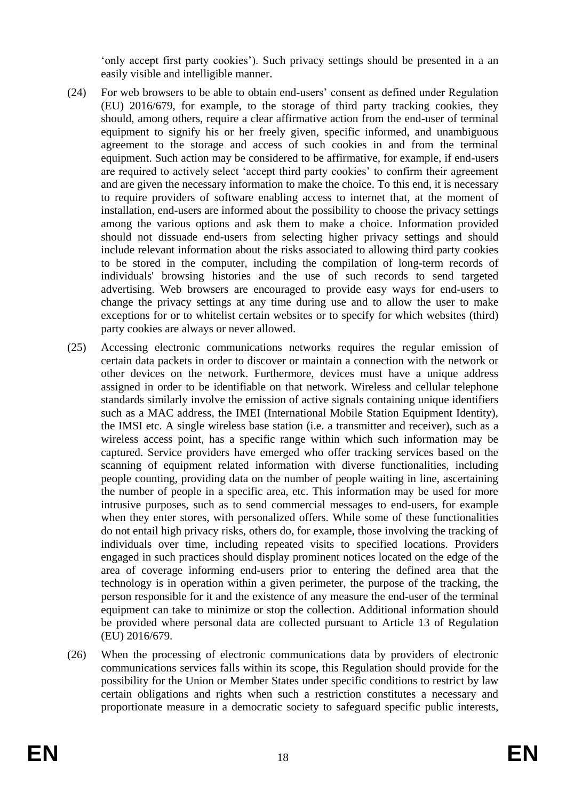'only accept first party cookies'). Such privacy settings should be presented in a an easily visible and intelligible manner.

- (24) For web browsers to be able to obtain end-users' consent as defined under Regulation (EU) 2016/679, for example, to the storage of third party tracking cookies, they should, among others, require a clear affirmative action from the end-user of terminal equipment to signify his or her freely given, specific informed, and unambiguous agreement to the storage and access of such cookies in and from the terminal equipment. Such action may be considered to be affirmative, for example, if end-users are required to actively select 'accept third party cookies' to confirm their agreement and are given the necessary information to make the choice. To this end, it is necessary to require providers of software enabling access to internet that, at the moment of installation, end-users are informed about the possibility to choose the privacy settings among the various options and ask them to make a choice. Information provided should not dissuade end-users from selecting higher privacy settings and should include relevant information about the risks associated to allowing third party cookies to be stored in the computer, including the compilation of long-term records of individuals' browsing histories and the use of such records to send targeted advertising. Web browsers are encouraged to provide easy ways for end-users to change the privacy settings at any time during use and to allow the user to make exceptions for or to whitelist certain websites or to specify for which websites (third) party cookies are always or never allowed.
- (25) Accessing electronic communications networks requires the regular emission of certain data packets in order to discover or maintain a connection with the network or other devices on the network. Furthermore, devices must have a unique address assigned in order to be identifiable on that network. Wireless and cellular telephone standards similarly involve the emission of active signals containing unique identifiers such as a MAC address, the IMEI (International Mobile Station Equipment Identity), the IMSI etc. A single wireless base station (i.e. a transmitter and receiver), such as a wireless access point, has a specific range within which such information may be captured. Service providers have emerged who offer tracking services based on the scanning of equipment related information with diverse functionalities, including people counting, providing data on the number of people waiting in line, ascertaining the number of people in a specific area, etc. This information may be used for more intrusive purposes, such as to send commercial messages to end-users, for example when they enter stores, with personalized offers. While some of these functionalities do not entail high privacy risks, others do, for example, those involving the tracking of individuals over time, including repeated visits to specified locations. Providers engaged in such practices should display prominent notices located on the edge of the area of coverage informing end-users prior to entering the defined area that the technology is in operation within a given perimeter, the purpose of the tracking, the person responsible for it and the existence of any measure the end-user of the terminal equipment can take to minimize or stop the collection. Additional information should be provided where personal data are collected pursuant to Article 13 of Regulation (EU) 2016/679.
- (26) When the processing of electronic communications data by providers of electronic communications services falls within its scope, this Regulation should provide for the possibility for the Union or Member States under specific conditions to restrict by law certain obligations and rights when such a restriction constitutes a necessary and proportionate measure in a democratic society to safeguard specific public interests,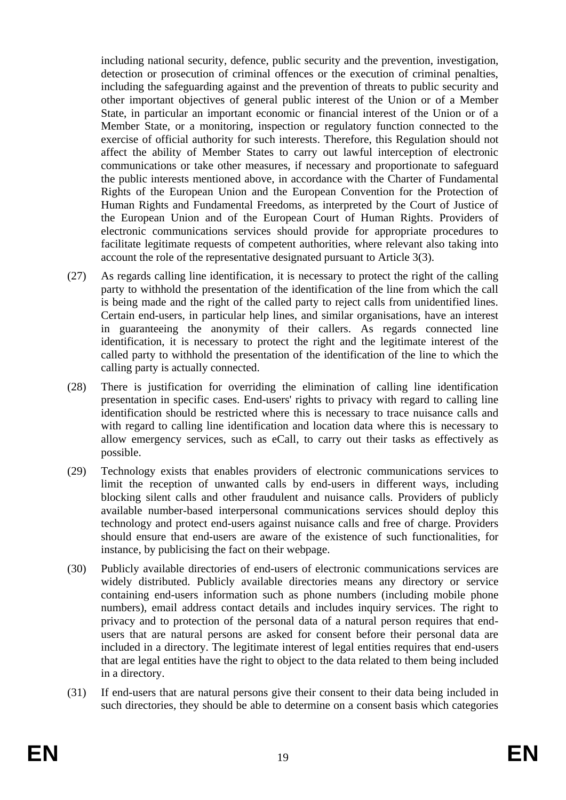including national security, defence, public security and the prevention, investigation, detection or prosecution of criminal offences or the execution of criminal penalties, including the safeguarding against and the prevention of threats to public security and other important objectives of general public interest of the Union or of a Member State, in particular an important economic or financial interest of the Union or of a Member State, or a monitoring, inspection or regulatory function connected to the exercise of official authority for such interests. Therefore, this Regulation should not affect the ability of Member States to carry out lawful interception of electronic communications or take other measures, if necessary and proportionate to safeguard the public interests mentioned above, in accordance with the Charter of Fundamental Rights of the European Union and the European Convention for the Protection of Human Rights and Fundamental Freedoms, as interpreted by the Court of Justice of the European Union and of the European Court of Human Rights. Providers of electronic communications services should provide for appropriate procedures to facilitate legitimate requests of competent authorities, where relevant also taking into account the role of the representative designated pursuant to Article 3(3).

- (27) As regards calling line identification, it is necessary to protect the right of the calling party to withhold the presentation of the identification of the line from which the call is being made and the right of the called party to reject calls from unidentified lines. Certain end-users, in particular help lines, and similar organisations, have an interest in guaranteeing the anonymity of their callers. As regards connected line identification, it is necessary to protect the right and the legitimate interest of the called party to withhold the presentation of the identification of the line to which the calling party is actually connected.
- (28) There is justification for overriding the elimination of calling line identification presentation in specific cases. End-users' rights to privacy with regard to calling line identification should be restricted where this is necessary to trace nuisance calls and with regard to calling line identification and location data where this is necessary to allow emergency services, such as eCall, to carry out their tasks as effectively as possible.
- (29) Technology exists that enables providers of electronic communications services to limit the reception of unwanted calls by end-users in different ways, including blocking silent calls and other fraudulent and nuisance calls. Providers of publicly available number-based interpersonal communications services should deploy this technology and protect end-users against nuisance calls and free of charge. Providers should ensure that end-users are aware of the existence of such functionalities, for instance, by publicising the fact on their webpage.
- (30) Publicly available directories of end-users of electronic communications services are widely distributed. Publicly available directories means any directory or service containing end-users information such as phone numbers (including mobile phone numbers), email address contact details and includes inquiry services. The right to privacy and to protection of the personal data of a natural person requires that endusers that are natural persons are asked for consent before their personal data are included in a directory. The legitimate interest of legal entities requires that end-users that are legal entities have the right to object to the data related to them being included in a directory.
- (31) If end-users that are natural persons give their consent to their data being included in such directories, they should be able to determine on a consent basis which categories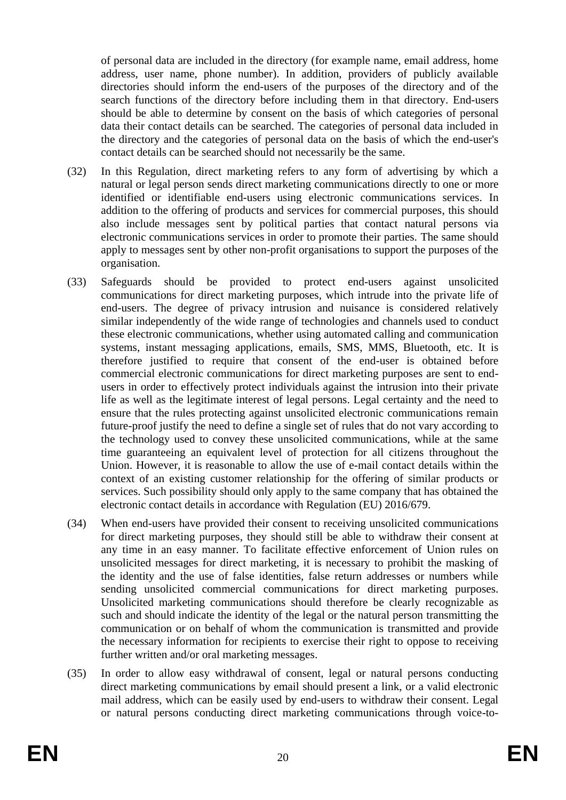of personal data are included in the directory (for example name, email address, home address, user name, phone number). In addition, providers of publicly available directories should inform the end-users of the purposes of the directory and of the search functions of the directory before including them in that directory. End-users should be able to determine by consent on the basis of which categories of personal data their contact details can be searched. The categories of personal data included in the directory and the categories of personal data on the basis of which the end-user's contact details can be searched should not necessarily be the same.

- (32) In this Regulation, direct marketing refers to any form of advertising by which a natural or legal person sends direct marketing communications directly to one or more identified or identifiable end-users using electronic communications services. In addition to the offering of products and services for commercial purposes, this should also include messages sent by political parties that contact natural persons via electronic communications services in order to promote their parties. The same should apply to messages sent by other non-profit organisations to support the purposes of the organisation.
- (33) Safeguards should be provided to protect end-users against unsolicited communications for direct marketing purposes, which intrude into the private life of end-users. The degree of privacy intrusion and nuisance is considered relatively similar independently of the wide range of technologies and channels used to conduct these electronic communications, whether using automated calling and communication systems, instant messaging applications, emails, SMS, MMS, Bluetooth, etc. It is therefore justified to require that consent of the end-user is obtained before commercial electronic communications for direct marketing purposes are sent to endusers in order to effectively protect individuals against the intrusion into their private life as well as the legitimate interest of legal persons. Legal certainty and the need to ensure that the rules protecting against unsolicited electronic communications remain future-proof justify the need to define a single set of rules that do not vary according to the technology used to convey these unsolicited communications, while at the same time guaranteeing an equivalent level of protection for all citizens throughout the Union. However, it is reasonable to allow the use of e-mail contact details within the context of an existing customer relationship for the offering of similar products or services. Such possibility should only apply to the same company that has obtained the electronic contact details in accordance with Regulation (EU) 2016/679.
- (34) When end-users have provided their consent to receiving unsolicited communications for direct marketing purposes, they should still be able to withdraw their consent at any time in an easy manner. To facilitate effective enforcement of Union rules on unsolicited messages for direct marketing, it is necessary to prohibit the masking of the identity and the use of false identities, false return addresses or numbers while sending unsolicited commercial communications for direct marketing purposes. Unsolicited marketing communications should therefore be clearly recognizable as such and should indicate the identity of the legal or the natural person transmitting the communication or on behalf of whom the communication is transmitted and provide the necessary information for recipients to exercise their right to oppose to receiving further written and/or oral marketing messages.
- (35) In order to allow easy withdrawal of consent, legal or natural persons conducting direct marketing communications by email should present a link, or a valid electronic mail address, which can be easily used by end-users to withdraw their consent. Legal or natural persons conducting direct marketing communications through voice-to-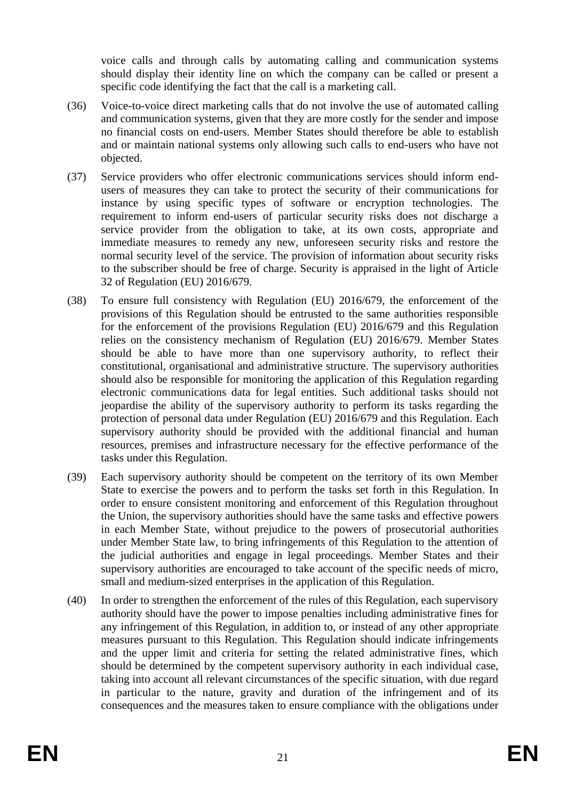voice calls and through calls by automating calling and communication systems should display their identity line on which the company can be called or present a specific code identifying the fact that the call is a marketing call.

- (36) Voice-to-voice direct marketing calls that do not involve the use of automated calling and communication systems, given that they are more costly for the sender and impose no financial costs on end-users. Member States should therefore be able to establish and or maintain national systems only allowing such calls to end-users who have not objected.
- (37) Service providers who offer electronic communications services should inform endusers of measures they can take to protect the security of their communications for instance by using specific types of software or encryption technologies. The requirement to inform end-users of particular security risks does not discharge a service provider from the obligation to take, at its own costs, appropriate and immediate measures to remedy any new, unforeseen security risks and restore the normal security level of the service. The provision of information about security risks to the subscriber should be free of charge. Security is appraised in the light of Article 32 of Regulation (EU) 2016/679.
- (38) To ensure full consistency with Regulation (EU) 2016/679, the enforcement of the provisions of this Regulation should be entrusted to the same authorities responsible for the enforcement of the provisions Regulation (EU) 2016/679 and this Regulation relies on the consistency mechanism of Regulation (EU) 2016/679. Member States should be able to have more than one supervisory authority, to reflect their constitutional, organisational and administrative structure. The supervisory authorities should also be responsible for monitoring the application of this Regulation regarding electronic communications data for legal entities. Such additional tasks should not jeopardise the ability of the supervisory authority to perform its tasks regarding the protection of personal data under Regulation (EU) 2016/679 and this Regulation. Each supervisory authority should be provided with the additional financial and human resources, premises and infrastructure necessary for the effective performance of the tasks under this Regulation.
- (39) Each supervisory authority should be competent on the territory of its own Member State to exercise the powers and to perform the tasks set forth in this Regulation. In order to ensure consistent monitoring and enforcement of this Regulation throughout the Union, the supervisory authorities should have the same tasks and effective powers in each Member State, without prejudice to the powers of prosecutorial authorities under Member State law, to bring infringements of this Regulation to the attention of the judicial authorities and engage in legal proceedings. Member States and their supervisory authorities are encouraged to take account of the specific needs of micro, small and medium-sized enterprises in the application of this Regulation.
- (40) In order to strengthen the enforcement of the rules of this Regulation, each supervisory authority should have the power to impose penalties including administrative fines for any infringement of this Regulation, in addition to, or instead of any other appropriate measures pursuant to this Regulation. This Regulation should indicate infringements and the upper limit and criteria for setting the related administrative fines, which should be determined by the competent supervisory authority in each individual case, taking into account all relevant circumstances of the specific situation, with due regard in particular to the nature, gravity and duration of the infringement and of its consequences and the measures taken to ensure compliance with the obligations under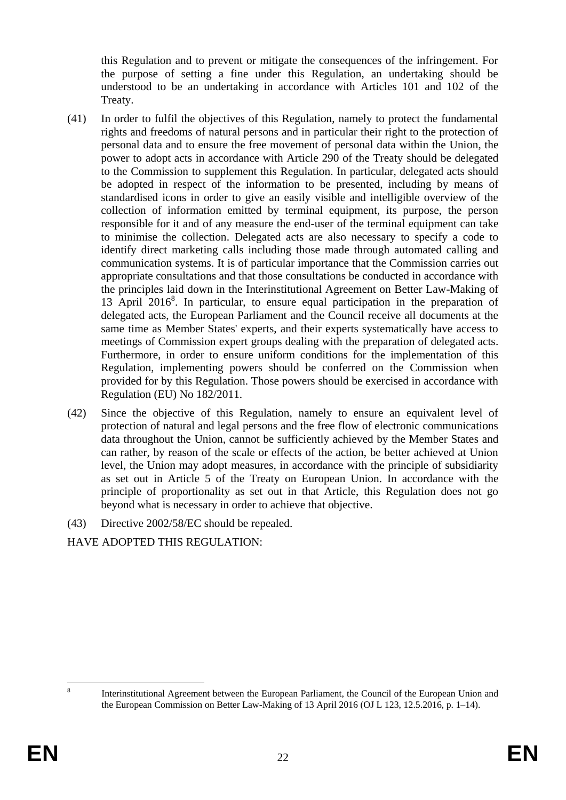this Regulation and to prevent or mitigate the consequences of the infringement. For the purpose of setting a fine under this Regulation, an undertaking should be understood to be an undertaking in accordance with Articles 101 and 102 of the Treaty.

- (41) In order to fulfil the objectives of this Regulation, namely to protect the fundamental rights and freedoms of natural persons and in particular their right to the protection of personal data and to ensure the free movement of personal data within the Union, the power to adopt acts in accordance with Article 290 of the Treaty should be delegated to the Commission to supplement this Regulation. In particular, delegated acts should be adopted in respect of the information to be presented, including by means of standardised icons in order to give an easily visible and intelligible overview of the collection of information emitted by terminal equipment, its purpose, the person responsible for it and of any measure the end-user of the terminal equipment can take to minimise the collection. Delegated acts are also necessary to specify a code to identify direct marketing calls including those made through automated calling and communication systems. It is of particular importance that the Commission carries out appropriate consultations and that those consultations be conducted in accordance with the principles laid down in the Interinstitutional Agreement on Better Law-Making of 13 April 2016<sup>8</sup> . In particular, to ensure equal participation in the preparation of delegated acts, the European Parliament and the Council receive all documents at the same time as Member States' experts, and their experts systematically have access to meetings of Commission expert groups dealing with the preparation of delegated acts. Furthermore, in order to ensure uniform conditions for the implementation of this Regulation, implementing powers should be conferred on the Commission when provided for by this Regulation. Those powers should be exercised in accordance with Regulation (EU) No 182/2011.
- (42) Since the objective of this Regulation, namely to ensure an equivalent level of protection of natural and legal persons and the free flow of electronic communications data throughout the Union, cannot be sufficiently achieved by the Member States and can rather, by reason of the scale or effects of the action, be better achieved at Union level, the Union may adopt measures, in accordance with the principle of subsidiarity as set out in Article 5 of the Treaty on European Union. In accordance with the principle of proportionality as set out in that Article, this Regulation does not go beyond what is necessary in order to achieve that objective.
- (43) Directive 2002/58/EC should be repealed.

HAVE ADOPTED THIS REGULATION:

1 8

Interinstitutional Agreement between the European Parliament, the Council of the European Union and the European Commission on Better Law-Making of 13 April 2016 (OJ L 123, 12.5.2016, p. 1–14).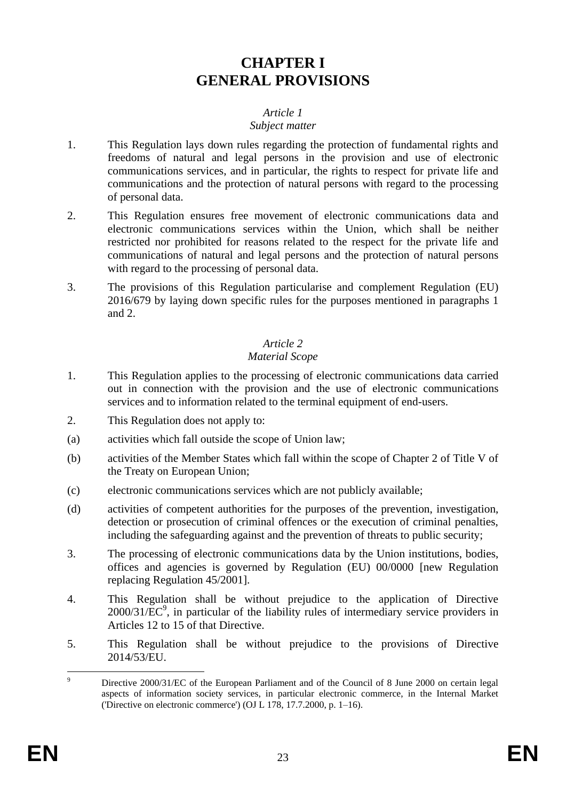# **CHAPTER I GENERAL PROVISIONS**

### *Article 1*

#### *Subject matter*

- 1. This Regulation lays down rules regarding the protection of fundamental rights and freedoms of natural and legal persons in the provision and use of electronic communications services, and in particular, the rights to respect for private life and communications and the protection of natural persons with regard to the processing of personal data.
- 2. This Regulation ensures free movement of electronic communications data and electronic communications services within the Union, which shall be neither restricted nor prohibited for reasons related to the respect for the private life and communications of natural and legal persons and the protection of natural persons with regard to the processing of personal data.
- 3. The provisions of this Regulation particularise and complement Regulation (EU) 2016/679 by laying down specific rules for the purposes mentioned in paragraphs 1 and 2.

# *Article 2*

### *Material Scope*

- 1. This Regulation applies to the processing of electronic communications data carried out in connection with the provision and the use of electronic communications services and to information related to the terminal equipment of end-users.
- 2. This Regulation does not apply to:
- (a) activities which fall outside the scope of Union law;
- (b) activities of the Member States which fall within the scope of Chapter 2 of Title V of the Treaty on European Union;
- (c) electronic communications services which are not publicly available;
- (d) activities of competent authorities for the purposes of the prevention, investigation, detection or prosecution of criminal offences or the execution of criminal penalties, including the safeguarding against and the prevention of threats to public security;
- 3. The processing of electronic communications data by the Union institutions, bodies, offices and agencies is governed by Regulation (EU) 00/0000 [new Regulation replacing Regulation 45/2001].
- 4. This Regulation shall be without prejudice to the application of Directive  $2000/31/\text{EC}^9$ , in particular of the liability rules of intermediary service providers in Articles 12 to 15 of that Directive.
- 5. This Regulation shall be without prejudice to the provisions of Directive 2014/53/EU.

 $\overline{Q}$ Directive 2000/31/EC of the European Parliament and of the Council of 8 June 2000 on certain legal aspects of information society services, in particular electronic commerce, in the Internal Market ('Directive on electronic commerce') (OJ L 178, 17.7.2000, p. 1–16).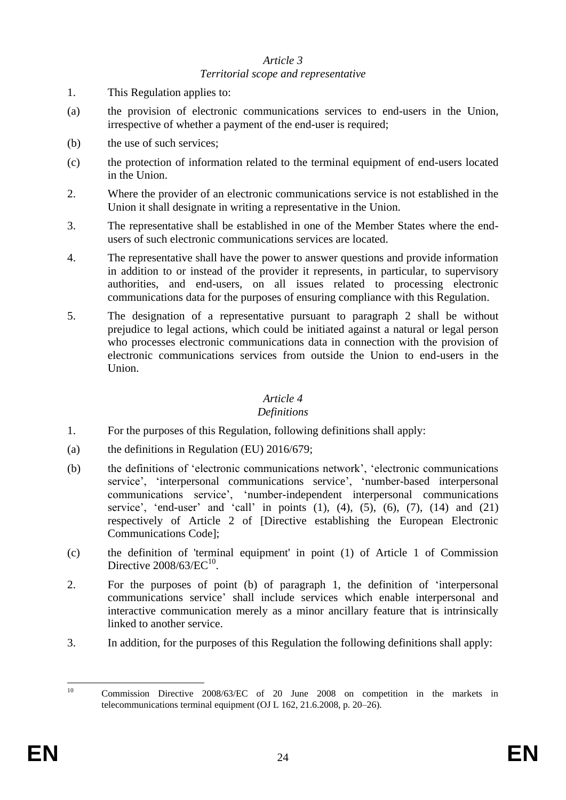#### *Article 3 Territorial scope and representative*

- 1. This Regulation applies to:
- (a) the provision of electronic communications services to end-users in the Union, irrespective of whether a payment of the end-user is required;
- (b) the use of such services;
- (c) the protection of information related to the terminal equipment of end-users located in the Union.
- 2. Where the provider of an electronic communications service is not established in the Union it shall designate in writing a representative in the Union.
- 3. The representative shall be established in one of the Member States where the endusers of such electronic communications services are located.
- 4. The representative shall have the power to answer questions and provide information in addition to or instead of the provider it represents, in particular, to supervisory authorities, and end-users, on all issues related to processing electronic communications data for the purposes of ensuring compliance with this Regulation.
- 5. The designation of a representative pursuant to paragraph 2 shall be without prejudice to legal actions, which could be initiated against a natural or legal person who processes electronic communications data in connection with the provision of electronic communications services from outside the Union to end-users in the Union.

# *Article 4*

### *Definitions*

- 1. For the purposes of this Regulation, following definitions shall apply:
- (a) the definitions in Regulation (EU) 2016/679;
- (b) the definitions of 'electronic communications network', 'electronic communications service', 'interpersonal communications service', 'number-based interpersonal communications service', 'number-independent interpersonal communications service', 'end-user' and 'call' in points  $(1)$ ,  $(4)$ ,  $(5)$ ,  $(6)$ ,  $(7)$ ,  $(14)$  and  $(21)$ respectively of Article 2 of [Directive establishing the European Electronic Communications Code];
- (c) the definition of 'terminal equipment' in point (1) of Article 1 of Commission Directive  $2008/63/EC^{10}$ .
- 2. For the purposes of point (b) of paragraph 1, the definition of 'interpersonal communications service' shall include services which enable interpersonal and interactive communication merely as a minor ancillary feature that is intrinsically linked to another service.
- 3. In addition, for the purposes of this Regulation the following definitions shall apply:

 $10$ <sup>10</sup> Commission Directive 2008/63/EC of 20 June 2008 on competition in the markets in telecommunications terminal equipment (OJ L 162, 21.6.2008, p. 20–26).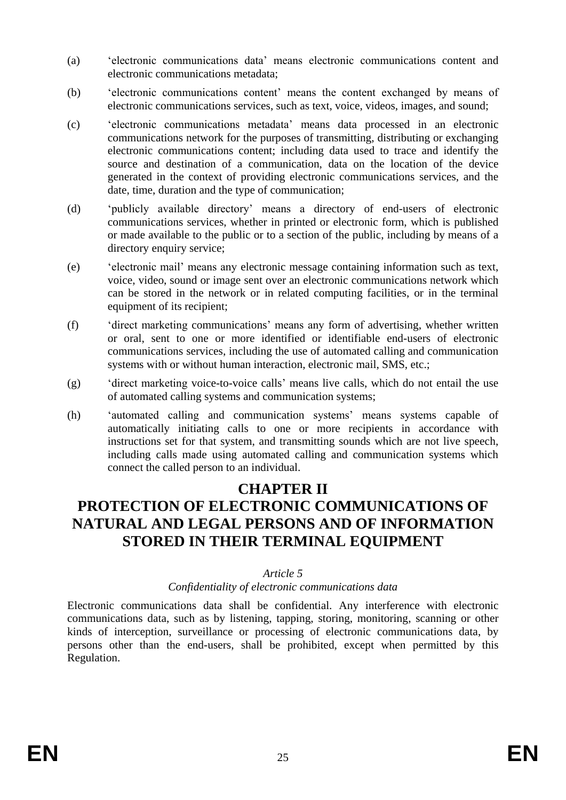- (a) 'electronic communications data' means electronic communications content and electronic communications metadata;
- (b) 'electronic communications content' means the content exchanged by means of electronic communications services, such as text, voice, videos, images, and sound;
- (c) 'electronic communications metadata' means data processed in an electronic communications network for the purposes of transmitting, distributing or exchanging electronic communications content; including data used to trace and identify the source and destination of a communication, data on the location of the device generated in the context of providing electronic communications services, and the date, time, duration and the type of communication;
- (d) 'publicly available directory' means a directory of end-users of electronic communications services, whether in printed or electronic form, which is published or made available to the public or to a section of the public, including by means of a directory enquiry service;
- (e) 'electronic mail' means any electronic message containing information such as text, voice, video, sound or image sent over an electronic communications network which can be stored in the network or in related computing facilities, or in the terminal equipment of its recipient;
- (f) 'direct marketing communications' means any form of advertising, whether written or oral, sent to one or more identified or identifiable end-users of electronic communications services, including the use of automated calling and communication systems with or without human interaction, electronic mail, SMS, etc.;
- (g) 'direct marketing voice-to-voice calls' means live calls, which do not entail the use of automated calling systems and communication systems;
- (h) 'automated calling and communication systems' means systems capable of automatically initiating calls to one or more recipients in accordance with instructions set for that system, and transmitting sounds which are not live speech, including calls made using automated calling and communication systems which connect the called person to an individual.

# **CHAPTER II**

# **PROTECTION OF ELECTRONIC COMMUNICATIONS OF NATURAL AND LEGAL PERSONS AND OF INFORMATION STORED IN THEIR TERMINAL EQUIPMENT**

### *Article 5*

### *Confidentiality of electronic communications data*

Electronic communications data shall be confidential. Any interference with electronic communications data, such as by listening, tapping, storing, monitoring, scanning or other kinds of interception, surveillance or processing of electronic communications data, by persons other than the end-users, shall be prohibited, except when permitted by this Regulation.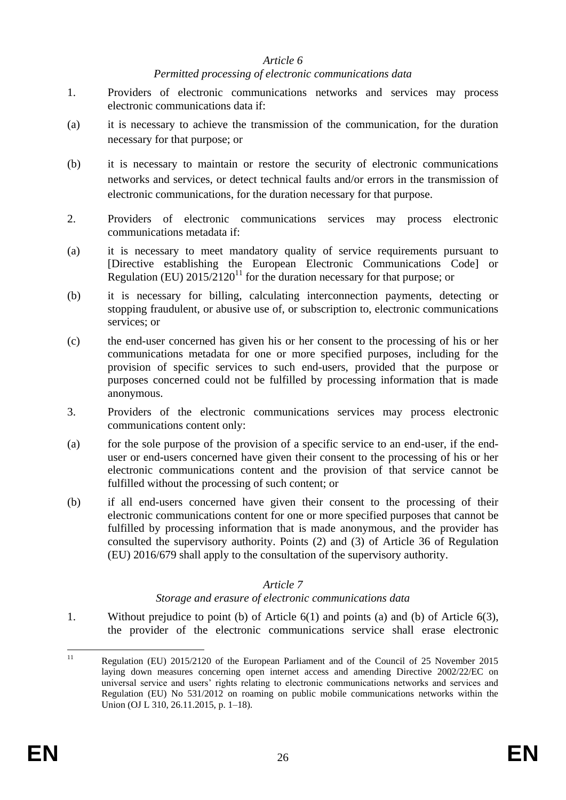### *Article 6*

### *Permitted processing of electronic communications data*

- 1. Providers of electronic communications networks and services may process electronic communications data if:
- (a) it is necessary to achieve the transmission of the communication, for the duration necessary for that purpose; or
- (b) it is necessary to maintain or restore the security of electronic communications networks and services, or detect technical faults and/or errors in the transmission of electronic communications, for the duration necessary for that purpose.
- 2. Providers of electronic communications services may process electronic communications metadata if:
- (a) it is necessary to meet mandatory quality of service requirements pursuant to [Directive establishing the European Electronic Communications Code] or Regulation (EU)  $2015/2120^{11}$  for the duration necessary for that purpose; or
- (b) it is necessary for billing, calculating interconnection payments, detecting or stopping fraudulent, or abusive use of, or subscription to, electronic communications services; or
- (c) the end-user concerned has given his or her consent to the processing of his or her communications metadata for one or more specified purposes, including for the provision of specific services to such end-users, provided that the purpose or purposes concerned could not be fulfilled by processing information that is made anonymous.
- 3. Providers of the electronic communications services may process electronic communications content only:
- (a) for the sole purpose of the provision of a specific service to an end-user, if the enduser or end-users concerned have given their consent to the processing of his or her electronic communications content and the provision of that service cannot be fulfilled without the processing of such content; or
- (b) if all end-users concerned have given their consent to the processing of their electronic communications content for one or more specified purposes that cannot be fulfilled by processing information that is made anonymous, and the provider has consulted the supervisory authority. Points (2) and (3) of Article 36 of Regulation (EU) 2016/679 shall apply to the consultation of the supervisory authority.

### *Article 7*

#### *Storage and erasure of electronic communications data*

1. Without prejudice to point (b) of Article 6(1) and points (a) and (b) of Article 6(3), the provider of the electronic communications service shall erase electronic

 $11$ Regulation (EU) 2015/2120 of the European Parliament and of the Council of 25 November 2015 laying down measures concerning open internet access and amending Directive 2002/22/EC on universal service and users' rights relating to electronic communications networks and services and Regulation (EU) No 531/2012 on roaming on public mobile communications networks within the Union (OJ L 310, 26.11.2015, p. 1–18).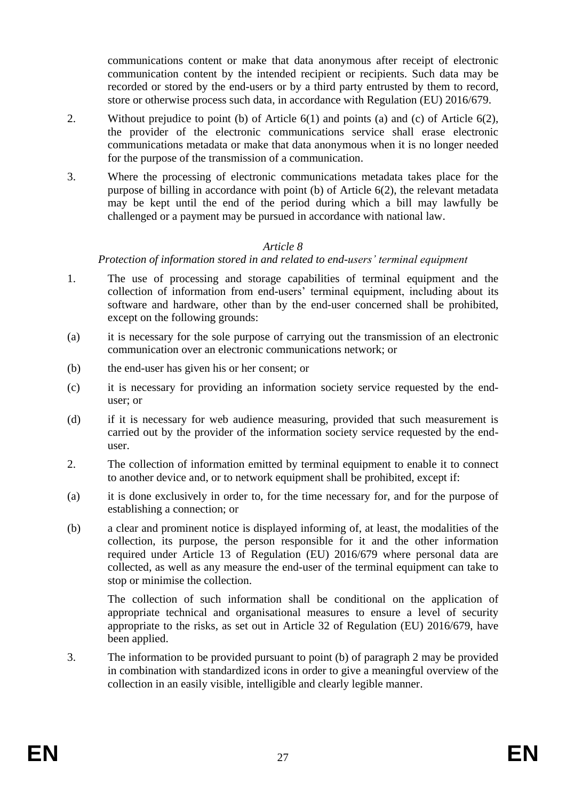communications content or make that data anonymous after receipt of electronic communication content by the intended recipient or recipients. Such data may be recorded or stored by the end-users or by a third party entrusted by them to record, store or otherwise process such data, in accordance with Regulation (EU) 2016/679.

- 2. Without prejudice to point (b) of Article 6(1) and points (a) and (c) of Article 6(2), the provider of the electronic communications service shall erase electronic communications metadata or make that data anonymous when it is no longer needed for the purpose of the transmission of a communication.
- 3. Where the processing of electronic communications metadata takes place for the purpose of billing in accordance with point (b) of Article 6(2), the relevant metadata may be kept until the end of the period during which a bill may lawfully be challenged or a payment may be pursued in accordance with national law.

### *Article 8*

### *Protection of information stored in and related to end-users' terminal equipment*

- 1. The use of processing and storage capabilities of terminal equipment and the collection of information from end-users' terminal equipment, including about its software and hardware, other than by the end-user concerned shall be prohibited, except on the following grounds:
- (a) it is necessary for the sole purpose of carrying out the transmission of an electronic communication over an electronic communications network; or
- (b) the end-user has given his or her consent; or
- (c) it is necessary for providing an information society service requested by the enduser; or
- (d) if it is necessary for web audience measuring, provided that such measurement is carried out by the provider of the information society service requested by the enduser.
- 2. The collection of information emitted by terminal equipment to enable it to connect to another device and, or to network equipment shall be prohibited, except if:
- (a) it is done exclusively in order to, for the time necessary for, and for the purpose of establishing a connection; or
- (b) a clear and prominent notice is displayed informing of, at least, the modalities of the collection, its purpose, the person responsible for it and the other information required under Article 13 of Regulation (EU) 2016/679 where personal data are collected, as well as any measure the end-user of the terminal equipment can take to stop or minimise the collection.

The collection of such information shall be conditional on the application of appropriate technical and organisational measures to ensure a level of security appropriate to the risks, as set out in Article 32 of Regulation (EU) 2016/679, have been applied.

3. The information to be provided pursuant to point (b) of paragraph 2 may be provided in combination with standardized icons in order to give a meaningful overview of the collection in an easily visible, intelligible and clearly legible manner.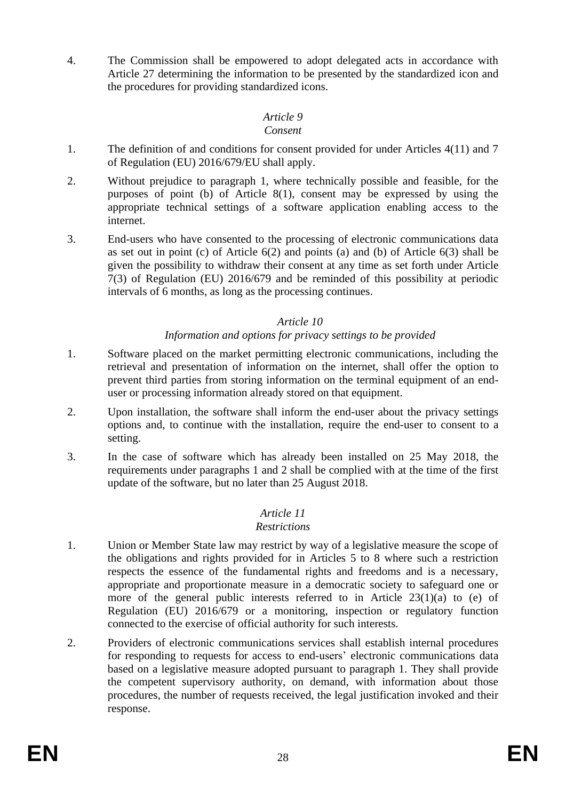4. The Commission shall be empowered to adopt delegated acts in accordance with Article 27 determining the information to be presented by the standardized icon and the procedures for providing standardized icons.

# *Article 9*

### *Consent*

- 1. The definition of and conditions for consent provided for under Articles 4(11) and 7 of Regulation (EU) 2016/679/EU shall apply.
- 2. Without prejudice to paragraph 1, where technically possible and feasible, for the purposes of point (b) of Article 8(1), consent may be expressed by using the appropriate technical settings of a software application enabling access to the internet.
- 3. End-users who have consented to the processing of electronic communications data as set out in point (c) of Article  $6(2)$  and points (a) and (b) of Article  $6(3)$  shall be given the possibility to withdraw their consent at any time as set forth under Article 7(3) of Regulation (EU) 2016/679 and be reminded of this possibility at periodic intervals of 6 months, as long as the processing continues.

## *Article 10*

## *Information and options for privacy settings to be provided*

- 1. Software placed on the market permitting electronic communications, including the retrieval and presentation of information on the internet, shall offer the option to prevent third parties from storing information on the terminal equipment of an enduser or processing information already stored on that equipment.
- 2. Upon installation, the software shall inform the end-user about the privacy settings options and, to continue with the installation, require the end-user to consent to a setting.
- 3. In the case of software which has already been installed on 25 May 2018, the requirements under paragraphs 1 and 2 shall be complied with at the time of the first update of the software, but no later than 25 August 2018.

# *Article 11*

# *Restrictions*

- 1. Union or Member State law may restrict by way of a legislative measure the scope of the obligations and rights provided for in Articles 5 to 8 where such a restriction respects the essence of the fundamental rights and freedoms and is a necessary, appropriate and proportionate measure in a democratic society to safeguard one or more of the general public interests referred to in Article 23(1)(a) to (e) of Regulation (EU) 2016/679 or a monitoring, inspection or regulatory function connected to the exercise of official authority for such interests.
- 2. Providers of electronic communications services shall establish internal procedures for responding to requests for access to end-users' electronic communications data based on a legislative measure adopted pursuant to paragraph 1. They shall provide the competent supervisory authority, on demand, with information about those procedures, the number of requests received, the legal justification invoked and their response.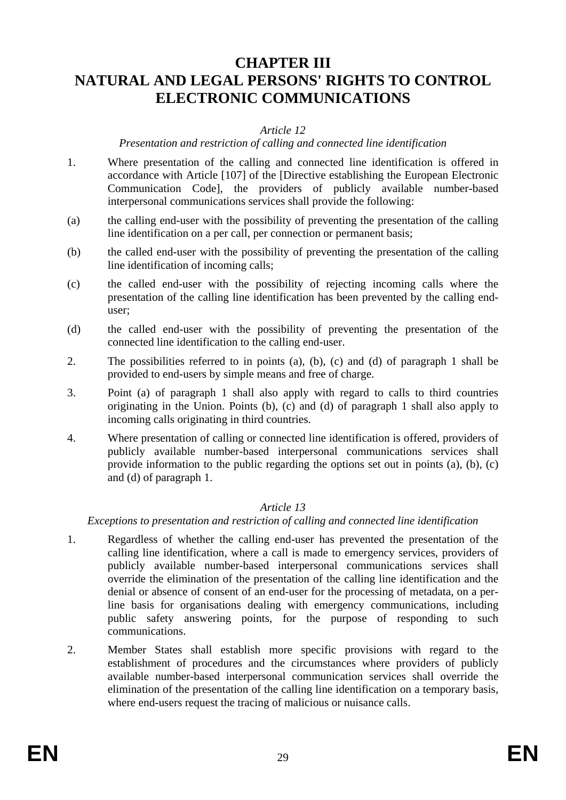# **CHAPTER III NATURAL AND LEGAL PERSONS' RIGHTS TO CONTROL ELECTRONIC COMMUNICATIONS**

### *Article 12*

### *Presentation and restriction of calling and connected line identification*

- 1. Where presentation of the calling and connected line identification is offered in accordance with Article [107] of the [Directive establishing the European Electronic Communication Code], the providers of publicly available number-based interpersonal communications services shall provide the following:
- (a) the calling end-user with the possibility of preventing the presentation of the calling line identification on a per call, per connection or permanent basis;
- (b) the called end-user with the possibility of preventing the presentation of the calling line identification of incoming calls;
- (c) the called end-user with the possibility of rejecting incoming calls where the presentation of the calling line identification has been prevented by the calling enduser;
- (d) the called end-user with the possibility of preventing the presentation of the connected line identification to the calling end-user.
- 2. The possibilities referred to in points (a), (b), (c) and (d) of paragraph 1 shall be provided to end-users by simple means and free of charge.
- 3. Point (a) of paragraph 1 shall also apply with regard to calls to third countries originating in the Union. Points (b), (c) and (d) of paragraph 1 shall also apply to incoming calls originating in third countries.
- 4. Where presentation of calling or connected line identification is offered, providers of publicly available number-based interpersonal communications services shall provide information to the public regarding the options set out in points (a), (b), (c) and (d) of paragraph 1.

#### *Article 13*

*Exceptions to presentation and restriction of calling and connected line identification*

- 1. Regardless of whether the calling end-user has prevented the presentation of the calling line identification, where a call is made to emergency services, providers of publicly available number-based interpersonal communications services shall override the elimination of the presentation of the calling line identification and the denial or absence of consent of an end-user for the processing of metadata, on a perline basis for organisations dealing with emergency communications, including public safety answering points, for the purpose of responding to such communications.
- 2. Member States shall establish more specific provisions with regard to the establishment of procedures and the circumstances where providers of publicly available number-based interpersonal communication services shall override the elimination of the presentation of the calling line identification on a temporary basis, where end-users request the tracing of malicious or nuisance calls.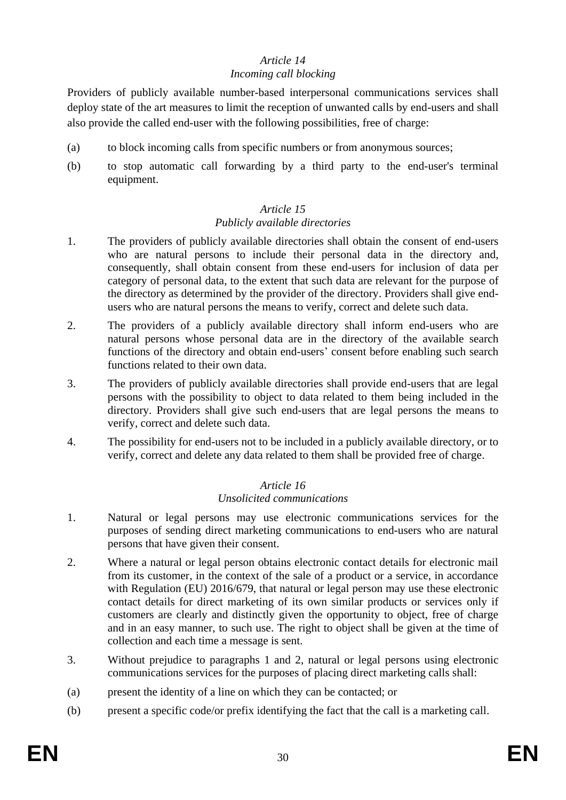# *Article 14*

### *Incoming call blocking*

Providers of publicly available number-based interpersonal communications services shall deploy state of the art measures to limit the reception of unwanted calls by end-users and shall also provide the called end-user with the following possibilities, free of charge:

- (a) to block incoming calls from specific numbers or from anonymous sources;
- (b) to stop automatic call forwarding by a third party to the end-user's terminal equipment.

# *Article 15*

# *Publicly available directories*

- 1. The providers of publicly available directories shall obtain the consent of end-users who are natural persons to include their personal data in the directory and, consequently, shall obtain consent from these end-users for inclusion of data per category of personal data, to the extent that such data are relevant for the purpose of the directory as determined by the provider of the directory. Providers shall give endusers who are natural persons the means to verify, correct and delete such data.
- 2. The providers of a publicly available directory shall inform end-users who are natural persons whose personal data are in the directory of the available search functions of the directory and obtain end-users' consent before enabling such search functions related to their own data.
- 3. The providers of publicly available directories shall provide end-users that are legal persons with the possibility to object to data related to them being included in the directory. Providers shall give such end-users that are legal persons the means to verify, correct and delete such data.
- 4. The possibility for end-users not to be included in a publicly available directory, or to verify, correct and delete any data related to them shall be provided free of charge.

### *Article 16 Unsolicited communications*

- 1. Natural or legal persons may use electronic communications services for the purposes of sending direct marketing communications to end-users who are natural persons that have given their consent.
- 2. Where a natural or legal person obtains electronic contact details for electronic mail from its customer, in the context of the sale of a product or a service, in accordance with Regulation (EU) 2016/679, that natural or legal person may use these electronic contact details for direct marketing of its own similar products or services only if customers are clearly and distinctly given the opportunity to object, free of charge and in an easy manner, to such use. The right to object shall be given at the time of collection and each time a message is sent.
- 3. Without prejudice to paragraphs 1 and 2, natural or legal persons using electronic communications services for the purposes of placing direct marketing calls shall:
- (a) present the identity of a line on which they can be contacted; or
- (b) present a specific code/or prefix identifying the fact that the call is a marketing call.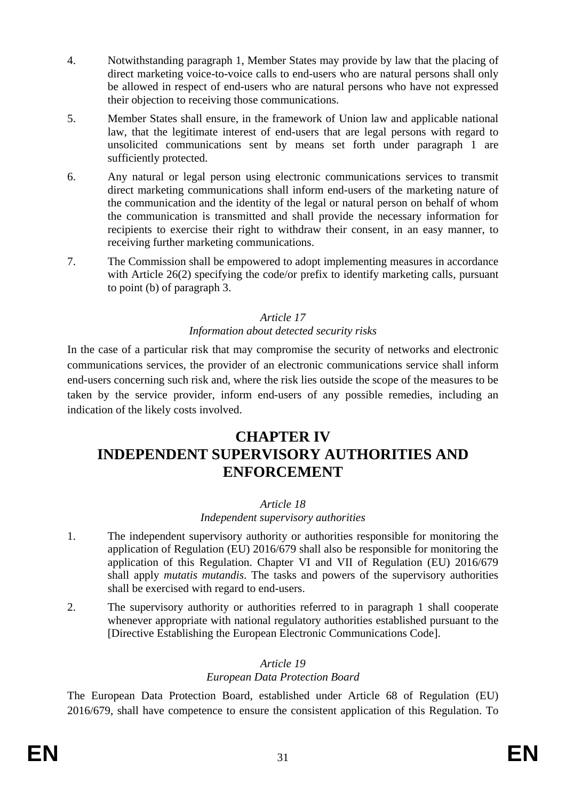- 4. Notwithstanding paragraph 1, Member States may provide by law that the placing of direct marketing voice-to-voice calls to end-users who are natural persons shall only be allowed in respect of end-users who are natural persons who have not expressed their objection to receiving those communications.
- 5. Member States shall ensure, in the framework of Union law and applicable national law, that the legitimate interest of end-users that are legal persons with regard to unsolicited communications sent by means set forth under paragraph 1 are sufficiently protected.
- 6. Any natural or legal person using electronic communications services to transmit direct marketing communications shall inform end-users of the marketing nature of the communication and the identity of the legal or natural person on behalf of whom the communication is transmitted and shall provide the necessary information for recipients to exercise their right to withdraw their consent, in an easy manner, to receiving further marketing communications.
- 7. The Commission shall be empowered to adopt implementing measures in accordance with Article 26(2) specifying the code/or prefix to identify marketing calls, pursuant to point (b) of paragraph 3.

# *Article 17*

# *Information about detected security risks*

In the case of a particular risk that may compromise the security of networks and electronic communications services, the provider of an electronic communications service shall inform end-users concerning such risk and, where the risk lies outside the scope of the measures to be taken by the service provider, inform end-users of any possible remedies, including an indication of the likely costs involved.

# **CHAPTER IV INDEPENDENT SUPERVISORY AUTHORITIES AND ENFORCEMENT**

# *Article 18*

# *Independent supervisory authorities*

- 1. The independent supervisory authority or authorities responsible for monitoring the application of Regulation (EU) 2016/679 shall also be responsible for monitoring the application of this Regulation. Chapter VI and VII of Regulation (EU) 2016/679 shall apply *mutatis mutandis*. The tasks and powers of the supervisory authorities shall be exercised with regard to end-users.
- 2. The supervisory authority or authorities referred to in paragraph 1 shall cooperate whenever appropriate with national regulatory authorities established pursuant to the [Directive Establishing the European Electronic Communications Code].

### *Article 19*

### *European Data Protection Board*

The European Data Protection Board, established under Article 68 of Regulation (EU) 2016/679, shall have competence to ensure the consistent application of this Regulation. To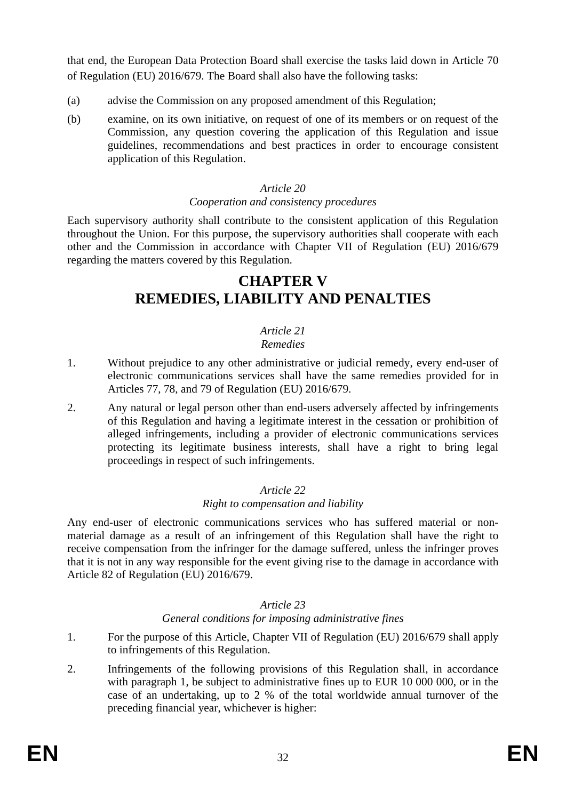that end, the European Data Protection Board shall exercise the tasks laid down in Article 70 of Regulation (EU) 2016/679. The Board shall also have the following tasks:

- (a) advise the Commission on any proposed amendment of this Regulation;
- (b) examine, on its own initiative, on request of one of its members or on request of the Commission, any question covering the application of this Regulation and issue guidelines, recommendations and best practices in order to encourage consistent application of this Regulation.

#### *Article 20*

#### *Cooperation and consistency procedures*

Each supervisory authority shall contribute to the consistent application of this Regulation throughout the Union. For this purpose, the supervisory authorities shall cooperate with each other and the Commission in accordance with Chapter VII of Regulation (EU) 2016/679 regarding the matters covered by this Regulation.

# **CHAPTER V REMEDIES, LIABILITY AND PENALTIES**

# *Article 21*

### *Remedies*

- 1. Without prejudice to any other administrative or judicial remedy, every end-user of electronic communications services shall have the same remedies provided for in Articles 77, 78, and 79 of Regulation (EU) 2016/679.
- 2. Any natural or legal person other than end-users adversely affected by infringements of this Regulation and having a legitimate interest in the cessation or prohibition of alleged infringements, including a provider of electronic communications services protecting its legitimate business interests, shall have a right to bring legal proceedings in respect of such infringements.

#### *Article 22*

#### *Right to compensation and liability*

Any end-user of electronic communications services who has suffered material or nonmaterial damage as a result of an infringement of this Regulation shall have the right to receive compensation from the infringer for the damage suffered, unless the infringer proves that it is not in any way responsible for the event giving rise to the damage in accordance with Article 82 of Regulation (EU) 2016/679.

#### *Article 23*

*General conditions for imposing administrative fines*

- 1. For the purpose of this Article, Chapter VII of Regulation (EU) 2016/679 shall apply to infringements of this Regulation.
- 2. Infringements of the following provisions of this Regulation shall, in accordance with paragraph 1, be subject to administrative fines up to EUR 10 000 000, or in the case of an undertaking, up to 2 % of the total worldwide annual turnover of the preceding financial year, whichever is higher: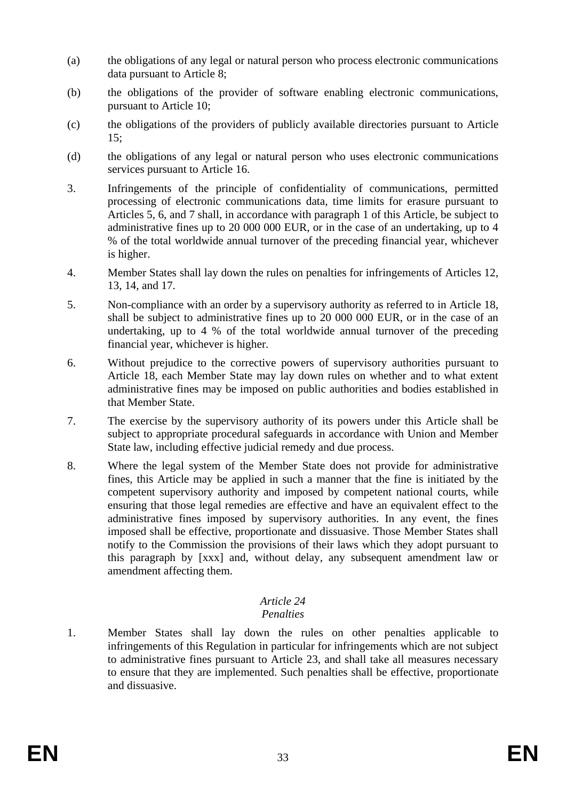- (a) the obligations of any legal or natural person who process electronic communications data pursuant to Article 8;
- (b) the obligations of the provider of software enabling electronic communications, pursuant to Article 10;
- (c) the obligations of the providers of publicly available directories pursuant to Article 15;
- (d) the obligations of any legal or natural person who uses electronic communications services pursuant to Article 16.
- 3. Infringements of the principle of confidentiality of communications, permitted processing of electronic communications data, time limits for erasure pursuant to Articles 5, 6, and 7 shall, in accordance with paragraph 1 of this Article, be subject to administrative fines up to 20 000 000 EUR, or in the case of an undertaking, up to 4 % of the total worldwide annual turnover of the preceding financial year, whichever is higher.
- 4. Member States shall lay down the rules on penalties for infringements of Articles 12, 13, 14, and 17.
- 5. Non-compliance with an order by a supervisory authority as referred to in Article 18, shall be subject to administrative fines up to 20 000 000 EUR, or in the case of an undertaking, up to 4 % of the total worldwide annual turnover of the preceding financial year, whichever is higher.
- 6. Without prejudice to the corrective powers of supervisory authorities pursuant to Article 18, each Member State may lay down rules on whether and to what extent administrative fines may be imposed on public authorities and bodies established in that Member State.
- 7. The exercise by the supervisory authority of its powers under this Article shall be subject to appropriate procedural safeguards in accordance with Union and Member State law, including effective judicial remedy and due process.
- 8. Where the legal system of the Member State does not provide for administrative fines, this Article may be applied in such a manner that the fine is initiated by the competent supervisory authority and imposed by competent national courts, while ensuring that those legal remedies are effective and have an equivalent effect to the administrative fines imposed by supervisory authorities. In any event, the fines imposed shall be effective, proportionate and dissuasive. Those Member States shall notify to the Commission the provisions of their laws which they adopt pursuant to this paragraph by [xxx] and, without delay, any subsequent amendment law or amendment affecting them.

# *Article 24*

# *Penalties*

1. Member States shall lay down the rules on other penalties applicable to infringements of this Regulation in particular for infringements which are not subject to administrative fines pursuant to Article 23, and shall take all measures necessary to ensure that they are implemented. Such penalties shall be effective, proportionate and dissuasive.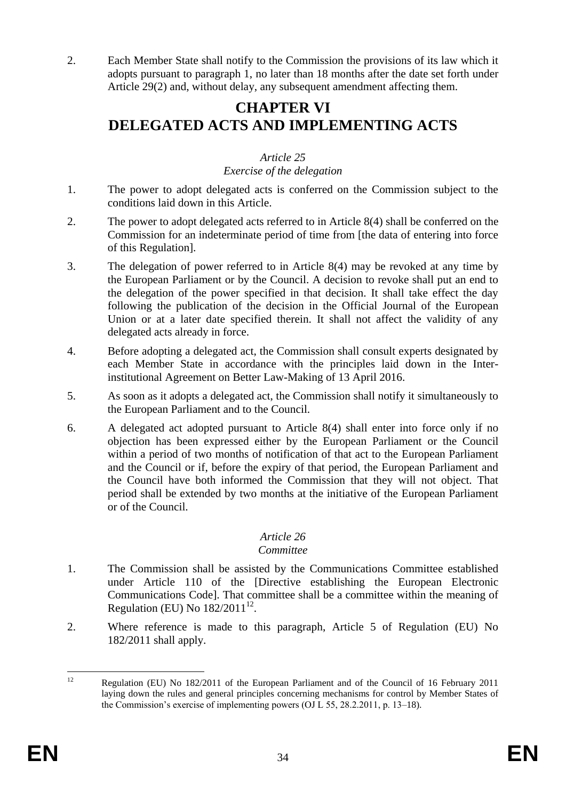2. Each Member State shall notify to the Commission the provisions of its law which it adopts pursuant to paragraph 1, no later than 18 months after the date set forth under Article 29(2) and, without delay, any subsequent amendment affecting them.

# **CHAPTER VI DELEGATED ACTS AND IMPLEMENTING ACTS**

## *Article 25*

## *Exercise of the delegation*

- 1. The power to adopt delegated acts is conferred on the Commission subject to the conditions laid down in this Article.
- 2. The power to adopt delegated acts referred to in Article 8(4) shall be conferred on the Commission for an indeterminate period of time from [the data of entering into force of this Regulation].
- 3. The delegation of power referred to in Article 8(4) may be revoked at any time by the European Parliament or by the Council. A decision to revoke shall put an end to the delegation of the power specified in that decision. It shall take effect the day following the publication of the decision in the Official Journal of the European Union or at a later date specified therein. It shall not affect the validity of any delegated acts already in force.
- 4. Before adopting a delegated act, the Commission shall consult experts designated by each Member State in accordance with the principles laid down in the Interinstitutional Agreement on Better Law-Making of 13 April 2016.
- 5. As soon as it adopts a delegated act, the Commission shall notify it simultaneously to the European Parliament and to the Council.
- 6. A delegated act adopted pursuant to Article 8(4) shall enter into force only if no objection has been expressed either by the European Parliament or the Council within a period of two months of notification of that act to the European Parliament and the Council or if, before the expiry of that period, the European Parliament and the Council have both informed the Commission that they will not object. That period shall be extended by two months at the initiative of the European Parliament or of the Council.

# *Article 26*

### *Committee*

- 1. The Commission shall be assisted by the Communications Committee established under Article 110 of the [Directive establishing the European Electronic Communications Code]. That committee shall be a committee within the meaning of Regulation (EU) No  $182/2011^{12}$ .
- 2. Where reference is made to this paragraph, Article 5 of Regulation (EU) No 182/2011 shall apply.

 $12$ <sup>12</sup> Regulation (EU) No 182/2011 of the European Parliament and of the Council of 16 February 2011 laying down the rules and general principles concerning mechanisms for control by Member States of the Commission's exercise of implementing powers (OJ L 55, 28.2.2011, p. 13–18).